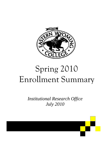

# Spring 2010 Enrollment Summary

*Institutional Research Office July 2010* 

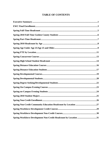# **TABLE OF CONTENTS**

| Spring Workforce Development Non-Credit Headcount by Location 31 |
|------------------------------------------------------------------|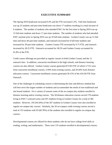#### **EXECUTIVE SUMMARY**

The Spring 2010 headcount increased 0.4% and the FTE increased 3.3%. Full-time headcount was up 23 students and part-time headcount was down 17 students resulting in a total increase of 6 students. The number of students who attended EWC for the first time in Spring 2010 was up 13 full-time students and down 17 part-time students. The number of students who had attended EWC anytime prior to Spring 2010 was up 10 full-time students. Goshen County was up 15 fulltime and down 46 part-time students, and outreach increased by 8 full-time students and increased by 29 part-time students. Goshen County FTE increased by 6.75 FTE, and outreach increased by 28.25 FTE. Outreach accounted for 38.2% and Goshen County accounted for 61.8% of the FTE.

Credit course offerings are provided as regular courses in both Goshen County and the 12 outreach sites. In addition, concurrent enrollment in the high schools, and distance learning courses are also offered. Goshen County courses generated 673.83 FTE of which 3.71% were from concurrent enrollment courses, 5.94% from evening courses, and 20.44% from distance education courses. Concurrent enrollment courses generated 30.15% of the 416.58 FTE from Outreach.

One of the challenges in scheduling courses is determining the time and delivery method that will best serve the largest number of students and accommodate the needs of non-traditional and site bound students. For a variety of reasons some of the on-campus day students enrolled in distance learning and/or evening courses. The 58 distance education courses served 178 students living in EWC's outreach areas and 207 students living in Goshen County for a total of 385 students. However, 195 (94.20%) of the 207 students in Goshen County were also enrolled in regular on-campus day courses. Similarly, the 20 on-campus credit evening courses served a total of 153 students with 93 (60.78%) of the students also enrolled in regular on-campus day courses.

Developmental courses are offered for those students who do not have college level skills in reading, writing, and mathematics. There were 135 students enrolled in developmental courses,

1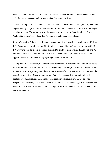which accounted for 8.42% of the FTE. Of the 135 students enrolled in developmental courses, 113 of those students are seeking an associate degree or certificate.

The total Spring 2010 headcount was 1,603 students. Of those students, 901 (56.21%) were nondegree seeking. High School students account for 415 (46.06%) students of the 901 non-degree seeking students. The programs with the largest enrollments were Interdisciplinary Studies, Welding & Joining Technology, Pre-Nursing, and Veterinary Technology.

Eastern Wyoming College provides numerous non-credit and workforce development offerings. EWC's non-credit enrollment was 2,216 students compared to 1,771 students in Spring 2009. EWC's workforce development efforts provided 65 credit courses totaling 181.34 FTE and 75 non-credit courses meeting for a total of 673.50 contact hours to provide further educational opportunities for individuals in or preparing to enter the workforce.

The Spring 2010 on-campus, full-time students came from 25 states and three foreign countries. Most of the students came from five states: Wyoming, Nebraska, Colorado, South Dakota, and Montana. Within Wyoming, the full-time, on-campus students came from 19 counties, with the majority coming from Goshen, Laramie and Platte. The gender distribution for all credit students was 42% male and 58% female. The ethnicity distribution was 68% white non-Hispanic, 3% Hispanic, 26% Unknown and 3% all others. The average age of students enrolled in credit courses was 28.69 with a 24.01 average for full-time students and a 31.28 average for part-time students.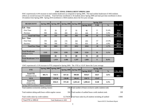#### **EWC FINAL ENROLLMENT SPRING 2010**

EWC experienced a 0.4% increase in total student headcount as compared to Spring 2009. The total student headcount of 1603 students reflects an overall increase of 6 students. Total full-time enrollment is 34 students above Spring 2009 and total part-time enrollment is down 18 students from Spring 2009. Spring 2010 enrollment is 108.8 students above the five-year average.

| <b>HEADCOUNT</b>                        |             | Spring 2007 |                    |             |             | Spring 2010 |               |                  |
|-----------------------------------------|-------------|-------------|--------------------|-------------|-------------|-------------|---------------|------------------|
|                                         | Spring 2006 |             | <b>Spring 2008</b> | Spring 2009 | Spring 2010 | <b>VAR</b>  | $\frac{0}{0}$ | <b>5 Yr. AVG</b> |
| <b>Full - Time</b>                      |             |             |                    |             |             |             |               |                  |
| <b>First Time</b>                       | 25          | 29          | 27                 | 35          | 46          | 11          | 31.4%         | 32.4             |
| Previous                                | 368         | 304         | 389                | 421         | 444         | 23          | 5.5%          | 385.2            |
| <b>Total Full Timel</b>                 | 393         | 333         | 416                | 456         | 490         | 34          | 7.5%          | 417.6            |
| <b>Part - Time</b>                      |             |             |                    |             |             |             |               |                  |
| <b>First Time</b>                       | 136         | 202         | 178                | 260         | 203         | $-57$       | $-21.9%$      | 195.8            |
| Previous                                | 790         | 799         | 797                | 792         | 831         | 39          | 4.9%          | 801.8            |
| <b>Total Part Timel</b>                 | 926         | 1001        | 975                | 1052        | 1034        | $-18$       | $-1.7\%$      | 997.6            |
|                                         |             |             |                    |             |             |             |               |                  |
| <b>Total Headcount</b><br>(Without LEA) | 1319        | 1334        | 1391               | 1508        | 1524        | <b>16</b>   | 1.1%          | 1415.2           |
| <b>LEA</b>                              |             | 85          | 75                 | 89          | 79          | $-10$       |               |                  |
| <b>Total Headcount (With</b><br>LEA)    |             | 1,419       | 1,466              | 1,597       | 1,603       | 6           | $0.4\%$       |                  |

EWC experienced a 3.3% increase in FTE compared to Spring 2009. The FTE is 115.97 above the 5 year average.

| <b>FTE</b>                                               | Spring 2006 | <b>Spring 2007</b>      | <b>Spring 2008</b> | <b>Spring 2008</b><br>Spring 2009 |                                                                   |            |                                |           |
|----------------------------------------------------------|-------------|-------------------------|--------------------|-----------------------------------|-------------------------------------------------------------------|------------|--------------------------------|-----------|
|                                                          |             |                         |                    |                                   | Spring 2010                                                       | <b>VAR</b> | $\frac{0}{0}$                  | 5 Yr. AVG |
| <b>Total FTE</b><br>(Without LEA)                        | 801.75      | 710.75                  | 837.42             | 909.00                            | 959.67                                                            | 50.67      | $5.6\%$                        | 843.7     |
| <b>LEA</b>                                               |             | 139.50                  | 138.08             | 146.42                            | 130.75                                                            | $-15.67$   |                                |           |
| <b>Total FTE</b><br>(With LEA)                           |             | 850.25                  | 975.50             | 1,055.42                          | 1,090.42                                                          | 35.00      | $3.3\%$                        |           |
| Spring 2008 Enrollment Report Footnotes:                 |             |                         |                    |                                   |                                                                   |            |                                |           |
| Total students exclusively auditing classes:             |             |                         |                    |                                   | 238 Total number of hours exclusive audits students took:         |            |                                | 242       |
| Total students taking audit hours within regular courses |             |                         | 104                |                                   | Total number of audited hours credit students took:               |            |                                | 109       |
| Total credits taken by credit students:                  |             |                         |                    |                                   | 12,734.00 Total hours taken by all students including all audited |            |                                | 13085     |
| Total FTE is 1090.42                                     |             | Total Headcount is 1603 |                    |                                   |                                                                   |            | Source: WCCC Enrollment Report |           |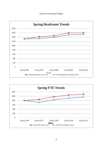



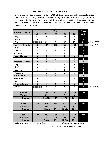#### **SPRING FULL-TIME HEADCOUNT**

EWC experienced an increase of eight (6.2%) full-time students in Outreach enrollment and an increase of 15 (3.6%) students in Goshen County for a total increase of 23 (4.2%) students as compared to Spring 2009. Outreach full-time headcount was 25 students above the fiveyear. Goshen County was 61 students above the five-year average for an overall 86 students above the five-year average.

|                         |                         |                         | 5 Yr.                   |                         |                |                         |            |
|-------------------------|-------------------------|-------------------------|-------------------------|-------------------------|----------------|-------------------------|------------|
| <b>Student Location</b> | 06                      | 07                      | 08                      | 09                      | 10             | Avg.                    |            |
| Douglas                 | 30                      | 29                      | 34                      | 33                      | 45             | 34                      |            |
| Glenrock                | $\overline{0}$          | $\overline{0}$          | $\overline{4}$          | $\mathbf{1}$            | $\overline{0}$ | $\mathbf{1}$            |            |
| <b>LEA</b>              |                         | 85                      | 72                      | 89                      | 78             | 81                      | 4 Year AVG |
| <b>Converse County</b>  | 30                      | 114                     | 110                     | 123                     | 123            | 118                     | 4 Year AVG |
| Hulett                  | $\overline{0}$          | $\overline{0}$          | $\overline{0}$          | $\overline{0}$          | $\overline{0}$ | $\bf{0}$                |            |
| Moorcroft               | 5                       | $\overline{4}$          | 3                       | $\boldsymbol{0}$        | $\overline{2}$ | $\mathbf{3}$            |            |
| Sundance                | $\overline{0}$          | $\overline{0}$          | $\overline{0}$          | $\overline{0}$          | $\mathbf{1}$   | $\bf{0}$                |            |
| <b>Crook County</b>     | $\overline{5}$          | $\overline{\mathbf{4}}$ | $\overline{3}$          | $\mathbf{0}$            | $\overline{3}$ | $\overline{\mathbf{3}}$ |            |
| Lusk                    | $\overline{0}$          | $\mathbf{1}$            | $\overline{2}$          | $\mathbf{1}$            | $\overline{2}$ | $\mathbf{1}$            |            |
| <b>Niobrara County</b>  | $\boldsymbol{0}$        | $\mathbf{1}$            | $\overline{2}$          | $\mathbf{1}$            | $\overline{2}$ | $\mathbf{1}$            |            |
| Chugwater               | $\overline{0}$          | $\overline{0}$          | $\overline{0}$          | $\overline{0}$          | $\overline{0}$ | $\boldsymbol{0}$        |            |
| Glendo                  | $\overline{0}$          | $\overline{0}$          | $\theta$                | $\theta$                | $\overline{0}$ | $\boldsymbol{0}$        |            |
| Guernsey                | $\overline{0}$          | $\overline{0}$          | $\overline{0}$          | $\overline{0}$          | $\mathbf{1}$   | $\boldsymbol{0}$        |            |
| Wheatland               | $\overline{4}$          | $\overline{0}$          | $\overline{3}$          | $\overline{3}$          | $\mathbf{1}$   | $\overline{2}$          |            |
| <b>Platte County</b>    | $\overline{\mathbf{4}}$ | $\boldsymbol{0}$        | $\overline{\mathbf{3}}$ | $\overline{\mathbf{3}}$ | $\overline{2}$ | $\overline{2}$          |            |
| Newcastle               | 6                       | 6                       | 5                       | 3                       | 5              | 5                       |            |
| Upton                   | $\overline{0}$          | $\overline{0}$          | $\mathbf{1}$            | $\overline{0}$          | $\mathbf{1}$   | $\boldsymbol{0}$        |            |
| <b>Weston County</b>    | 6                       | 6                       | 6                       | $\overline{\mathbf{3}}$ | 6              | 5 <sup>5</sup>          |            |
| Other*                  |                         | $\overline{2}$          | $\mathbf{1}$            | $\mathbf{0}$            | $\overline{2}$ | $\mathbf{1}$            | 4 Year AVG |
| <b>Outreach</b>         | 45                      | 127                     | 125                     | 130                     | 138            | 113                     |            |
| <b>Variance</b>         |                         | 82                      | $-2$                    | 5 <sup>5</sup>          | 8              |                         |            |
| % Change                |                         | 182.2%                  | $-1.6%$                 | 4.0%                    | 6.2%           |                         |            |
|                         |                         |                         |                         |                         |                |                         |            |
| <b>Goshen</b>           | 348                     | 291                     | 363                     | 415                     | 430            | 369                     |            |
| <b>Variance</b>         |                         | $-57$                   | 72                      | 52                      | 15             |                         |            |
| % Change                |                         | $-16.4%$                | 24.7%                   | 14.3%                   | 3.6%           |                         |            |
|                         |                         |                         |                         |                         |                |                         |            |
| <b>Total</b>            | 393                     | 418                     | 488                     | 545                     | 568            | 482                     |            |
| <b>Variance</b>         |                         | 25                      | 70                      | 57                      | 23             |                         |            |
| % Change                |                         | 6.4%                    | 16.7%                   | 11.7%                   | 4.2%           |                         |            |

\* Full-Time Distance Learning Students Living in WY Outside the EWC Service Area

Source: Colleague FTE Summary Report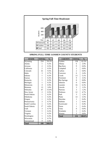

#### **SPRING FULL-TIME GOSHEN COUNTY STUDENTS**

| <b>STATE</b>   | <b>TOTAL</b>   | $\frac{0}{0}$ | <b>COUNTY</b>      |                | $\frac{0}{0}$ |
|----------------|----------------|---------------|--------------------|----------------|---------------|
| Wyoming        | 254            | 59.1%         | Goshen             | 158            | 62.2%         |
| Alaska         | 1              | 0.2%          | Albany             | 6              | 2.4%          |
| Arizona        | $\overline{2}$ | 0.5%          | Big Horn           | $\theta$       | 0.0%          |
| California     | $\overline{2}$ | 0.5%          | Campbell           | $\overline{2}$ | 0.8%          |
| Colorado       | 41             | 9.5%          | Carbon             | $\overline{c}$ | 0.8%          |
| Idaho          | 3              | 0.7%          | Converse           | 6              | 2.4%          |
| Indiana        | $\mathbf{1}$   | 0.2%          | Crook              | 13             | 5.1%          |
| Kansas         | 1              | 0.2%          | Freemont           | 9              | 3.5%          |
| Kentucky       | $\mathbf{1}$   | 0.2%          | <b>Hot Springs</b> | $\overline{0}$ | 0.0%          |
| Michigan       | 1              | 0.2%          | Johnson            | $\theta$       | 0.0%          |
| Minnesota      | $\overline{4}$ | 0.9%          | Laramie            | 16             | 6.3%          |
| Montana        | 13             | 3.0%          | Lincoln            | 3              | 1.2%          |
| Nebraska       | 67             | 15.6%         | Natrona            | 3              | 1.2%          |
| New Jersey     | $\overline{2}$ | 0.5%          | Niobrara           | 12             | 4.7%          |
| North Dakota   | $\mathbf{1}$   | 0.2%          | Park               | 3              | 1.2%          |
| Oklahoma       | 1              | 0.2%          | Platte             | 14             | 5.5%          |
| Oregon         | 1              | 0.2%          | Sheridan           | 1              | 0.4%          |
| Pennsylvania   | $\overline{3}$ | 0.7%          | Sublette           | 1              | 0.4%          |
| South Carolina | 1              | 0.2%          | Sweetwater         | 1              | 0.4%          |
| South Dakota   | 17             | 4.0%          | Teton              | 1              | 0.4%          |
| Utah           | 3              | 0.7%          | Uinta              | $\theta$       | $0.0\%$       |
| Vermont        | $\mathbf{1}$   | 0.2%          | Washakie           | 1              | 0.4%          |
| Virginia       | $\mathbf{1}$   | 0.2%          | Weston             | $\overline{2}$ | 0.8%          |
| Washington     | 1              | 0.2%          | <b>Total</b>       | 254            | 100.0%        |
| Wisconsin      | 3              | 0.7%          |                    |                |               |
| International  | $\overline{4}$ | 0.9%          |                    |                |               |
| <b>Total</b>   | 430            | 100.0%        |                    |                |               |

| <b>STATE</b>  | <b>TOTAL</b>   | $\frac{0}{0}$ | <b>COUNTY</b>      | <b>TOTAL</b>   | $\frac{1}{2}$ |
|---------------|----------------|---------------|--------------------|----------------|---------------|
| ming          | 254            | 59.1%         | Goshen             | 158            | 62.2%         |
| çа            | 1              | 0.2%          | Albany             | 6              | 2.4%          |
| <sub>na</sub> | $\overline{2}$ | 0.5%          | Big Horn           | $\Omega$       | $0.0\%$       |
| ornia         | $\overline{2}$ | 0.5%          | Campbell           | 2              | 0.8%          |
| rado          | 41             | 9.5%          | Carbon             | $\overline{2}$ | $0.8\%$       |
|               | 3              | 0.7%          | Converse           | 6              | 2.4%          |
| na            | $\mathbf{1}$   | 0.2%          | Crook              | 13             | 5.1%          |
| as            | 1              | 0.2%          | Freemont           | 9              | 3.5%          |
| ucky          | $\mathbf{1}$   | 0.2%          | <b>Hot Springs</b> | $\theta$       | 0.0%          |
| igan          | 1              | 0.2%          | Johnson            | $\overline{0}$ | $0.0\%$       |
| esota         | $\overline{4}$ | 0.9%          | Laramie            | 16             | 6.3%          |
| tana          | 13             | 3.0%          | Lincoln            | 3              | 1.2%          |
| aska          | 67             | 15.6%         | Natrona            | 3              | 1.2%          |
| Jersey        | $\overline{2}$ | 0.5%          | Niobrara           | 12             | 4.7%          |
| n Dakota      | 1              | $0.2\%$       | Park               | 3              | 1.2%          |
| homa          | 1              | 0.2%          | Platte             | 14             | 5.5%          |
| on            | 1              | 0.2%          | Sheridan           | 1              | 0.4%          |
| sylvania      | 3              | 0.7%          | Sublette           | 1              | 0.4%          |
| n Carolina    | 1              | 0.2%          | Sweetwater         | 1              | 0.4%          |
| ı Dakota      | 17             | 4.0%          | Teton              | 1              | 0.4%          |
|               | 3              | 0.7%          | Uinta              | $\theta$       | 0.0%          |
| iont          | $\mathbf{1}$   | 0.2%          | Washakie           | 1              | 0.4%          |
| nia           | 1              | 0.2%          | Weston             | $\overline{2}$ | 0.8%          |
| ington        | 1              | 0.2%          | <b>Total</b>       | 254            | 100.0%        |
|               |                |               |                    |                |               |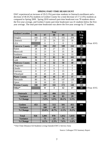#### **SPRING PART-TIME HEADCOUNT**

EWC experienced an increase of 29 (5.3%) part-time students in Outreach enrollment and a decrease of 46 (9.2%) students in Goshen County for a total decrease of 17 (1.6%) students as compared to Spring 2009. Spring 2010 outreach part-time headcount was 78 students above the five-year average, and Goshen County part-time headcount was 41 students below the fiveyear average. The total part-time headcount was above the five-year average by 37 students.

|                         |                |                  | Year                    |                |                  | 5 Yr.        |            |
|-------------------------|----------------|------------------|-------------------------|----------------|------------------|--------------|------------|
| <b>Student Location</b> | 06             | 07               | 08                      | 09             | 10               | Avg.         |            |
| Douglas                 | 160            | 145              | 175                     | 155            | 204              | 168          |            |
| Glenrock                | 37             | 21               | 24                      | 33             | 39               | 31           |            |
| <b>LEA</b>              |                | $\boldsymbol{0}$ | 3                       | $\overline{0}$ | $\mathbf{1}$     | $\mathbf{1}$ | 4 Year AVG |
| <b>Converse County</b>  | 197            | 166              | 202                     | 188            | 244              | 199          |            |
| Hulett                  | 28             | 30               | 27                      | 23             | 31               | 28           |            |
| Moorcroft               | 32             | 23               | 35                      | 35             | 38               | 33           |            |
| Sundance                | 33             | 24               | 21                      | 24             | 33               | 27           |            |
| <b>Crook County</b>     | 93             | 77               | 83                      | 82             | 102              | 87           |            |
| Lusk                    | 36             | 14               | 32                      | 50             | 40               | 34           |            |
| <b>Niobrara County</b>  | 36             | 14               | 32                      | 50             | 40               | 34           |            |
| Chugwater               | 5              | $\overline{0}$   | $\overline{0}$          | $\overline{0}$ | $\boldsymbol{0}$ | $\mathbf{1}$ |            |
| Glendo                  | $\overline{0}$ | 6                | 6                       | $\overline{2}$ | $\overline{2}$   | $\mathbf{3}$ |            |
| Guernsey                | 8              | 17               | 9                       | 15             | $\overline{7}$   | 11           |            |
| Wheatland               | 34             | 45               | 29                      | 30             | 28               | 33           |            |
| <b>Platte County</b>    | 47             | 68               | 44                      | 47             | 37               | 49           |            |
| Newcastle               | 80             | 91               | 89                      | 147            | 129              | 107          |            |
| Upton                   | 20             | 16               | 13                      | 25             | 11               | 17           |            |
| <b>Weston County</b>    | 100            | 107              | 102                     | 172            | 140              | 124          |            |
| Other*                  |                | 8                | $\overline{\mathbf{3}}$ | 12             | 17               | 10           | 4 Year AVG |
| <b>Outreach</b>         | 473            | 440              | 466                     | 551            | 580              | 502          |            |
| <b>Variance</b>         |                | $-33$            | 26                      | 85             | 29               |              |            |
| % Change                |                | $-7.0%$          | 5.9%                    | 18.2%          | 5.3%             |              |            |
|                         |                |                  |                         |                |                  |              |            |
| Goshen                  | 453            | 561              | 512                     | 501            | 455              | 496          |            |
| <b>Variance</b>         |                | 108              | $-49$                   | $-11$          | $-46$            |              |            |
| % Change                |                | 23.8%            | $-8.7%$                 | $-2.1%$        | $-9.2%$          |              |            |
| <b>Total</b>            | 926            | 1,001            | 978                     | 1,052          | 1,035            | 998          |            |
| <b>Variance</b>         |                | 75               | $-23$                   | 74             | $-17$            |              |            |
| % Change                |                | 8.1%             | $-2.3%$                 | 7.6%           | $-1.6%$          |              |            |

\* Part-Time Distance Ed Students Living Outside EWC's Service Area

Source: Colleague FTE Summary Report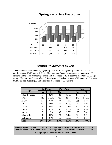

## **SPRING HEADCOUNT BY AGE**

The two highest enrollments by age group were the 17-24 age group with 54.8% of the enrollment and 25-29 age with 8.2%. The most significant changes were an increase of 23 students in the 16 or younger age group and a decrease of 19 in both the 25-29 and 50-59 age group. The traditional age students (24 and younger) had an increase of 28 students. The nontraditional age students (25 and older) had a decrease of 22 students.

|                |     | <b>Full-Time</b> |       | <b>Part-Time</b> | <b>Total</b> |               |  |
|----------------|-----|------------------|-------|------------------|--------------|---------------|--|
| Age            | No. | $\frac{0}{0}$    | No.   | $\frac{0}{0}$    | No.          | $\frac{0}{0}$ |  |
| 16 or Younger  |     | 0.2%             | 80    | 7.7%             | 81           | 5.1%          |  |
| $17 - 24$      | 425 | 74.8%            | 453   | 43.8%            | 878          | 54.8%         |  |
| 25-29          | 53  | 9.3%             | 78    | 7.5%             | 131          | 8.2%          |  |
| 30-34          | 43  | 7.6%             | 69    | 6.7%             | 112          | 7.0%          |  |
| 35-39          | 14  | 2.5%             | 73    | 7.1%             | 87           | 5.4%          |  |
| 40-49          | 20  | 3.5%             | 97    | 9.4%             | 117          | 7.3%          |  |
| 50-59          | 7   | 1.2%             | 96    | 9.3%             | 103          | 6.4%          |  |
| 60 or older    | 3   | 0.5%             | 73    | 7.1%             | 76           | 4.7%          |  |
| <b>Unknown</b> | 2   | 0.4%             | 16    | 1.5%             | 18           | 1.1%          |  |
| <b>Total</b>   | 568 | 100%             | 1,035 | 100%             | 1,603        | 100%          |  |

**Average Age of 664 Men: 28.18 Average Age of 921 Women: 29.05 Average Age of 1019 Part-time Students: 31.28 Average Age of 566 Full-time Students: 24.01 Average Age of 1585 Men and Women: 28.69**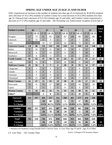## **SPRING AGE UNDER AGE 25/AGE 25 AND OLDER**

EWC experienced an increase in the number of students less than age 25 in Outreach by 36 (8.9%) students and a decrease of 10 (1.9%) students in Goshen County for a total increase of 26 (2.8%) students less than age 25. Outreach had a decrease of 9 (3.2%) students age 25 and older, and Goshen County experienced a decrease of 27 (7.0%) students age 25 and older. The Wyoming Law Enforcement Academy (LEA) had 21

|                         |                  |                  |                |                |                | Year             |                  |                |                         |                  |                     |
|-------------------------|------------------|------------------|----------------|----------------|----------------|------------------|------------------|----------------|-------------------------|------------------|---------------------|
| <b>Student Location</b> |                  | 06               |                | 07             | 08             |                  | 09               |                |                         | 10               | <b>Total</b><br>Var |
|                         | LT 25            | GE 25            | LT 25          | <b>GE 25</b>   | LT 25          | <b>GE 25</b>     | LT 25            |                | GE 25 LT 25             | <b>GE 25</b>     |                     |
| Douglas                 | 117              | 73               | 91             | 82             | 126            | 83               | 108              | 80             | 163                     | 86               | 61                  |
| Glenrock                | 21               | 15               | 17             | $\overline{4}$ | 21             | 7                | 27               | 7              | 34                      | $\overline{4}$   | 4                   |
| <b>LEA</b>              |                  |                  | 28             | 57             | 21             | 54               | 16               | 73             | 21                      | 58               | $-10$               |
| <b>Converse County</b>  | 138              | 88               | 136            | 143            | 168            | 144              | 151              | 160            | 218                     | 148              | 55                  |
| Hulett                  | 8                | 20               | 9              | 21             | 18             | 9                | 14               | 9              | 22                      | 9                | 8                   |
| Moorcroft               | 31               | 6                | 17             | 10             | 27             | 11               | 28               | $\tau$         | 38                      | $\overline{2}$   | 5                   |
| Sundance                | 27               | 6                | 21             | $\overline{3}$ | 17             | $\overline{4}$   | 23               | $\mathbf{1}$   | 33                      | $\overline{0}$   | $\boldsymbol{9}$    |
| <b>Crook County</b>     | 66               | 32               | 47             | 34             | 62             | 24               | 65               | 17             | 93                      | 11               | 22                  |
| Lusk                    | 20               | 16               | 8              | 7              | 6              | 28               | 20               | 31             | 14                      | 27               | $-10$               |
| <b>Niobrara County</b>  | 20               | 16               | 8              | $\overline{7}$ | 6              | 28               | 20               | 31             | 14                      | 27               | $-10$               |
| Chugwater               | $\overline{4}$   | 1                | $\overline{0}$ | $\overline{0}$ | $\overline{0}$ | $\boldsymbol{0}$ | $\boldsymbol{0}$ | $\overline{0}$ | $\overline{0}$          | $\overline{0}$   | $\boldsymbol{0}$    |
| Glendo                  | $\boldsymbol{0}$ | $\boldsymbol{0}$ | 6              | $\overline{0}$ | 1              | 5                | $\overline{2}$   | $\overline{0}$ | $\overline{2}$          | $\boldsymbol{0}$ | $\boldsymbol{0}$    |
| Guernsey                | 5                | 3                | 11             | 6              | 6              | 3                | 11               | $\overline{4}$ | $\overline{7}$          | 1                | $-7$                |
| Wheatland               | 15               | 23               | 18             | 27             | 12             | 20               | 16               | 17             | 8                       | 21               | $-4$                |
| <b>Platte County</b>    | 24               | 27               | 35             | 33             | 19             | 28               | 29               | 21             | 17                      | 22               | $-11$               |
| Newcastle               | 54               | 31               | 70             | 27             | 68             | 26               | 115              | 34             | 83                      | 50               | $-16$               |
| Upton                   | 17               | 3                | 11             | 5              | 6              | 8                | 21               | $\overline{4}$ | 10                      | $\overline{2}$   | $-13$               |
| <b>Weston County</b>    | 71               | 34               | 81             | 32             | 74             | 34               | 136              | 38             | 93                      | 52               | $-29$               |
| Other*                  |                  |                  | $\overline{2}$ | 8              | $\overline{2}$ | $\overline{2}$   | $\overline{2}$   | 10             | $\overline{\mathbf{4}}$ | 8                | $\boldsymbol{0}$    |
| <b>Outreach</b>         | 319              | 197              | 309            | 257            | 331            | 260              | 403              | 277            | 439                     | 268              |                     |
| <b>Variance</b>         |                  |                  | $-10$          | 60             | 22             | 3                | 72               | 17             | 36                      | $-9$             | 27                  |
| % Change                |                  |                  | $-3.1%$        | 30.5%          | 7.1%           | 1.2%             | 21.8%            | 6.5%           | 8.9%                    | $-3.2%$          | 4.0%                |
| Goshen                  | 463              | 337              | 437            | 415            | 487            | 386              | 530              | 385            | 520                     | 358              |                     |
| <b>Variance</b>         |                  |                  | $-26$          | 78             | 50             | $-29$            | 43               | $-1$           | $-10$                   | $-27$            | $-37$               |
| % Change                |                  |                  | $-5.6%$        | 23.1%          | 11.4%          | $-7.0%$          | 8.8%             | $-0.3%$        | $-1.9%$                 | $-7.0%$          | $-4.0\%$            |
| <b>Total</b>            | 782              | 534              | 746            | 672            | 818            | 646              | 933              | 662            | 959                     | 626              |                     |
| <b>Variance</b>         |                  |                  | $-36$          | 138            | 72             | $-26$            | 115              | 16             | 26                      | $-36$            | $-10$               |
| % Change                |                  |                  | $-4.6%$        | 25.8%          | 9.7%           | $-3.9%$          | 14.1%            | 2.5%           | 2.8%                    | $-5.4%$          | $-0.6\%$            |

\* Distance Ed Students Living Outside EWC's Service Area: 4- Less Than Age 25 and 8 - Age 25 or Older

LT- Less Than GE- Greater Than

Source: Colleague FTE Summary Report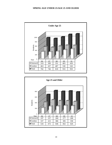#### **SPRING AGE UNDER 25/AGE 25 AND OLDER**



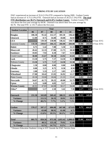#### **SPRING FTE BY LOCATION**

EWC experienced an increase of 35.0 (3.3%) FTE compared to Spring 2009. Goshen County had an increase of 6.75 (1.0%) FTE. Outreach had an increase of 28.25 (7.3%) FTE. **The total**  had an increase of 6.75 (1.0%) FTE. Outreach had an increase of 28.25 (7.3%) FTE.**The total FTE distribution was 38.2% Outreach and 61.8% Goshen County**. Goshen County FTE was above the five-year average by 68.96. Outreach was above their five-year average by 66.78. The total FTE is 135.75 above the five-year.

| <b>Student Location</b> |        |           | Var    | 5 Yr.    |          |          |                   |                 |
|-------------------------|--------|-----------|--------|----------|----------|----------|-------------------|-----------------|
|                         | 06     | 07        | 08     | 09       | 10       |          | Avg.              |                 |
| <b>Douglas</b>          | 106.58 | 91.42     | 112.17 | 101.50   | 136.42   | $-10.67$ | 82.33             |                 |
| <b>Glenrock</b>         | 12.00  | 8.75      | 16.00  | 18.08    | 16.92    | $-1.17$  | 14.35             |                 |
| <b>LEA</b>              |        | 139.50    | 138.08 | 146.42   | 130.75   | $-15.67$ | 138.69 4 Year AVG |                 |
| <b>Converse County</b>  | 118.58 | 239.67    | 266.25 | 266.00   | 284.08   | 18.08    | 264.00 4 Year AVG |                 |
| <b>Hulett</b>           | 6.75   | 5.42      | 7.08   | 5.50     | 11.33    | 5.83     | 7.22              |                 |
| <b>Moorcroft</b>        | 20.42  | 12.33     | 17.00  | 11.75    | 18.58    | 6.83     | 16.02             |                 |
| <b>Sundance</b>         | 10.83  | 7.92      | 6.50   | 7.67     | 11.92    | 4.25     | 8.97              |                 |
| <b>Crook County</b>     | 38.00  | 25.67     | 30.58  | 24.92    | 41.83    | 16.92    | 32.20             |                 |
| Lusk                    | 13.50  | 5.75      | 7.17   | 14.50    | 11.58    | $-2.92$  | 10.50             |                 |
| Nobrara County          | 13.50  | 5.75      | 7.17   | 14.50    | 11.58    | $-2.92$  | 10.50             |                 |
| <b>Chugwater</b>        | 1.58   | 0.00      | 0.00   | 0.00     | 0.00     | 0.00     | 0.32              |                 |
| <b>Glendo</b>           | 0.00   | 3.25      | 0.75   | 0.58     | 0.50     | $-0.08$  | 1.02              |                 |
| <b>Guernsey</b>         | 2.00   | 5.33      | 2.17   | 3.83     | 2.75     | $-1.08$  | 3.22              |                 |
| Wheatland               | 17.00  | 10.42     | 15.92  | 16.92    | 12.17    | $-4.75$  | 14.48             |                 |
| <b>Platte County</b>    | 20.58  | 19.00     | 18.84  | 21.33    | 15.42    | $-5.92$  | 19.03             |                 |
| <b>Newcastle</b>        | 34.67  | 41.75     | 39.25  | 49.00    | 52.75    | 3.75     | 43.48             |                 |
| <b>Upton</b>            | 6.25   | 6.08      | 4.83   | 9.17     | 3.33     | $-5.83$  | 5.93              |                 |
| <b>Weston County</b>    | 40.92  | 47.83     | 44.08  | 58.17    | 56.08    | $-2.08$  | 49.42             |                 |
| Other*                  |        | 5.17      | 2.50   | 3.42     | 7.58     | 4.17     |                   | 4.67 4 Year AVG |
| <b>Outreach</b>         | 231.58 | 343.09    | 369.42 | 388.33   | 416.58   | 28.25    | 349.80            |                 |
| <b>Variance</b>         |        | 111.51    | 26.33  | 18.91    | 28.25    |          |                   |                 |
| % Change                |        | 48.2%     | 7.7%   | 5.1%     | 7.3%     |          |                   |                 |
| <b>Goshen</b>           | 570.17 | 507.17    | 606.08 | 667.08   | 673.83   | 6.75     | 604.87            |                 |
| <b>Variance</b>         |        | $-63.00$  | 98.91  | 61.00    | 6.75     |          |                   |                 |
| % Change                |        | $-11.0\%$ | 19.5%  | 10.1%    | $1.0\%$  |          |                   |                 |
|                         |        |           |        |          |          |          |                   |                 |
| <b>Total</b>            | 801.75 | 850.26    | 975.50 | 1,055.42 | 1,090.42 | 35.00    | 954.67            |                 |
| <b>Variance</b>         |        | 48.51     | 125.24 | 79.92    | 35.00    |          |                   |                 |
| % Change                |        | 6.1%      | 14.7%  | 8.2%     | 3.3%     |          |                   |                 |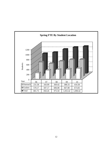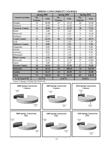|                        | <b>Spring 2008</b>    |            | <b>Spring 2009</b>    |            | Spring 2010           |            |  |  |
|------------------------|-----------------------|------------|-----------------------|------------|-----------------------|------------|--|--|
| <b>Course Location</b> | No.<br><b>Courses</b> | <b>FTE</b> | No.<br><b>Courses</b> | <b>FTE</b> | No.<br><b>Courses</b> | <b>FTE</b> |  |  |
| Douglas                | 19                    | 40.08      | 19                    | 32.33      | 24                    | 55.58      |  |  |
| Glenrock               | $\overline{4}$        | 9.92       | $\overline{4}$        | 14.92      | $\overline{4}$        | 15.67      |  |  |
| <b>Converse County</b> | 23                    | 50.00      | 23                    | 47.25      | 28                    | 71.25      |  |  |
| Hulett                 | $\overline{4}$        | 5.08       | $\overline{4}$        | 3.50       | $\overline{7}$        | 9.50       |  |  |
| Moorcroft              | 7                     | 11.08      | 8                     | 6.83       | 8                     | 15.50      |  |  |
| Sundance               | $\overline{4}$        | 6.17       | 6                     | 7.17       | $\overline{7}$        | 9.75       |  |  |
| <b>Crook County</b>    | 15                    | 22.33      | 18                    | 17.50      | 22                    | 34.75      |  |  |
| Lusk                   | $\boldsymbol{0}$      | 0.00       | $\mathbf{1}$          | 2.25       | 1                     | 1.50       |  |  |
| <b>Niobrara County</b> | $\boldsymbol{0}$      | 0.00       | $\mathbf{1}$          | 2.25       | $\mathbf{1}$          | 1.50       |  |  |
| Chugwater              | $\overline{0}$        | 0.00       | $\overline{0}$        | 0.00       | $\overline{0}$        | 0.00       |  |  |
| Glendo                 | 1                     | 0.25       | $\overline{2}$        | 0.58       | 1                     | 0.50       |  |  |
| Guernsey               | $\mathbf{1}$          | 0.83       | $\overline{2}$        | 2.42       | $\mathbf{1}$          | 0.50       |  |  |
| Wheatland              | $\overline{2}$        | 1.33       | 3                     | 2.50       | $\overline{4}$        | 1.17       |  |  |
| <b>Platte County</b>   | 4                     | 2.41       | $\overline{7}$        | 5.50       | 6                     | 2.17       |  |  |
| Newcastle              | 14                    | 16.33      | 16                    | 21.25      | 15                    | 14.00      |  |  |
| Upton                  | $\overline{2}$        | 2.08       | 5                     | 6.67       | $\overline{2}$        | 1.92       |  |  |
| <b>Weston County</b>   | 16                    | 18.41      | 21                    | 27.92      | 17                    | 15.92      |  |  |
| <b>Outreach</b>        | 58                    | 93.15      | 70                    | 100.42     | 74                    | 125.59     |  |  |
| Goshen                 | 14                    | 41.17      | 14                    | 43.83      | 11                    | 25.00      |  |  |
| <b>Total</b>           | 72                    | 134.32     | 84                    | 144.25     | 85                    | 150.59     |  |  |
| % of Total FTE         | 13.77%                |            | 13.67%                |            |                       | 13.81%     |  |  |

## **SPRING CONCURRENT COURSES**

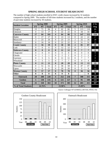#### **SPRING HIGH SCHOOL STUDENT HEADCOUNT**

The number of high school students enrolled in EWC credit classes increased by 32 students compared to Spring 2009. The number of full-time students increased by 2 students, and the number of part-time students increased by 30 students.

|                         | <b>Spring 2008</b> |                  |                  | <b>Spring 2009</b>       |                  |                | Spring 2010    | 3 Yr.          |                |                |
|-------------------------|--------------------|------------------|------------------|--------------------------|------------------|----------------|----------------|----------------|----------------|----------------|
| <b>Student Location</b> | <b>FT</b>          | PT               | <b>Total</b>     | <b>FT</b>                | PT               | <b>Total</b>   | <b>FT</b>      | <b>PT</b>      | <b>Total</b>   | Avg.           |
| Douglas                 | 13                 | 71               | 84               | $\overline{\mathcal{A}}$ | 62               | 66             | 5              | 113            | 118            | 89             |
| Glenrock                | $\overline{4}$     | 13               | 17               | $\overline{0}$           | 22               | 22             | $\mathbf{0}$   | 34             | 34             | 24             |
| <b>Converse County</b>  | 17                 | 84               | 101              | $\overline{\mathbf{4}}$  | 84               | 88             | 5              | 147            | 152            | 114            |
| Hulett                  | $\overline{0}$     | 17               | 17               | $\overline{0}$           | 13               | 13             | $\overline{0}$ | 22             | 22             | 17             |
| Moorcroft               | 3                  | 23               | 26               | $\overline{0}$           | 23               | 23             | $\overline{2}$ | 32             | 34             | 28             |
| Sundance                | $\overline{0}$     | 16               | 16               | $\overline{0}$           | 22               | 22             | $\overline{0}$ | 31             | 31             | 23             |
| <b>Crook County</b>     | 3                  | 56               | 59               | $\bf{0}$                 | 58               | 58             | $\overline{2}$ | 85             | 87             | 68             |
| Lusk                    | $\overline{0}$     | $\boldsymbol{0}$ | $\overline{0}$   | $\overline{0}$           | 12               | 12             | $\overline{0}$ | $\overline{7}$ | 7              | 6              |
| <b>Niobrara County</b>  | $\boldsymbol{0}$   | $\boldsymbol{0}$ | $\boldsymbol{0}$ | $\bf{0}$                 | 12               | 12             | $\bf{0}$       | $\overline{7}$ | $\overline{7}$ | 6              |
| Chugwater               | $\overline{0}$     | $\overline{0}$   | $\overline{0}$   | $\overline{0}$           | $\overline{0}$   | $\overline{0}$ | $\overline{0}$ | $\overline{0}$ | $\overline{0}$ | $\overline{0}$ |
| Glendo                  | $\boldsymbol{0}$   | $\mathbf{1}$     | $\mathbf{1}$     | $\overline{0}$           | $\overline{2}$   | $\overline{2}$ | $\mathbf{0}$   | $\overline{2}$ | $\overline{2}$ | $\overline{2}$ |
| Guernsey                | $\overline{0}$     | 5                | 5                | $\overline{0}$           | 11               | 11             | $\overline{0}$ | 7              | $\overline{7}$ | 8              |
| Wheatland               | $\boldsymbol{0}$   | 5                | 5                | $\overline{0}$           | 7                | $\overline{7}$ | $\mathbf{0}$   | $\overline{4}$ | $\overline{4}$ | 5              |
| <b>Platte County</b>    | $\boldsymbol{0}$   | 11               | 11               | $\bf{0}$                 | 20               | 20             | $\bf{0}$       | 13             | 13             | 15             |
| Newcastle               | $\overline{0}$     | 51               | 51               | $\overline{0}$           | 58               | 58             | $\overline{0}$ | 47             | 47             | 52             |
| Upton                   | $\mathbf{0}$       | 6                | 6                | $\overline{0}$           | 20               | 20             | $\mathbf{0}$   | 9              | 9              | 12             |
| <b>Weston County</b>    | $\boldsymbol{0}$   | 57               | 57               | $\bf{0}$                 | 78               | 78             | $\bf{0}$       | 56             | 56             | 64             |
| <b>Other</b>            | $\bf{0}$           | $\bf{0}$         | $\boldsymbol{0}$ | $\bf{0}$                 | $\boldsymbol{0}$ | $\bf{0}$       |                |                | $\bf{0}$       | $\bf{0}$       |
| <b>Outreach</b>         | 20                 | 208              | 228              | $\overline{\mathbf{4}}$  | 252              | 256            | $\overline{7}$ | 308            | 315            | 266            |
| Goshen                  | 5                  | 130              | 135              | 6                        | 121              | 127            | 5              | 95             | 100            | 121            |
| <b>Total</b>            | 25                 | 338              | 363              | 10                       | 373              | 383            | 12             | 403            | 415            | 387            |
| % of Total Students     |                    | 24.76%           |                  |                          | 23.98%           |                |                | 25.89%         |                |                |

0 25 50 75 100 125 150 08 09 10 08 09 10 Students Year Goshen County Headcount **Full-Time Part-Time**



Source: Colleague W73.ENROLL.DETAIL.FINAL File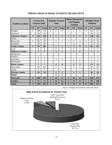| <b>Student Location</b> | <b>Concurrent</b><br><b>Courses Only</b> |                | <b>Regular Courses</b><br>Only |                |                         | <b>Both Concurrent</b><br>and Regular<br><b>Courses</b> |                |                 | <b>All High School</b><br><b>Students</b> |                 |                |                |
|-------------------------|------------------------------------------|----------------|--------------------------------|----------------|-------------------------|---------------------------------------------------------|----------------|-----------------|-------------------------------------------|-----------------|----------------|----------------|
|                         | <b>FT</b>                                | PT             | <b>Total</b>                   | <b>FT</b>      | <b>PT</b>               | <b>Total</b>                                            | <b>FT</b>      | <b>PT</b>       | <b>Total</b>                              | <b>FT</b>       | <b>PT</b>      | <b>Total</b>   |
| Douglas                 | 3                                        | 109            | 112                            | 1              | $\overline{2}$          | 3                                                       | 1              | 1               | $\overline{2}$                            | 5               | 112            | 117            |
| Glenrock                |                                          | 34             | 34                             |                |                         |                                                         |                |                 |                                           |                 | 34             | 34             |
| <b>Converse County</b>  | 3                                        | 143            | 146                            | $\mathbf{1}$   | $\overline{2}$          | 3                                                       | $\mathbf{1}$   | $\mathbf{1}$    | $\overline{2}$                            | 5               | 146            | 151            |
| Hulett                  |                                          | 22             | 22                             |                |                         |                                                         |                |                 |                                           |                 | 22             | 22             |
| Moorcroft               | $\mathbf{1}$                             | 28             | 29                             |                | $\mathbf{1}$            | $\mathbf{1}$                                            | $\mathbf{1}$   | 3               | 4                                         | $\overline{2}$  | 32             | 34             |
| Sundance                |                                          | 29             | 29                             |                |                         |                                                         |                | $\overline{2}$  | $\overline{2}$                            |                 | 31             | 31             |
| <b>Crook County</b>     | $\mathbf{1}$                             | 79             | 80                             |                | $\mathbf{1}$            | $\mathbf{1}$                                            | $\mathbf{1}$   | 5               | 6                                         | $\overline{2}$  | 85             | 87             |
| Lusk                    |                                          | 5              | $\overline{5}$                 |                | $\mathbf{1}$            | $\mathbf{1}$                                            |                | $\mathbf{1}$    | $\mathbf{1}$                              |                 | 7              | $\overline{7}$ |
| <b>Niobrara County</b>  |                                          | 5              | $\overline{\mathbf{5}}$        |                | $\mathbf{1}$            | $\mathbf{1}$                                            |                | 1               | $\mathbf{1}$                              |                 | 7              | $\overline{7}$ |
| Chugwater               |                                          |                |                                |                |                         |                                                         |                |                 |                                           |                 |                |                |
| Glendo                  |                                          | $\overline{2}$ | $\overline{2}$                 |                |                         |                                                         |                |                 |                                           |                 | $\overline{2}$ | $\overline{2}$ |
| Guernsey                |                                          | $\overline{2}$ | $\overline{2}$                 |                | $\overline{4}$          | $\overline{4}$                                          |                | $\mathbf{1}$    | $\mathbf{1}$                              |                 | $\overline{7}$ | $\overline{7}$ |
| Wheatland               |                                          | 3              | $\overline{3}$                 |                |                         |                                                         |                | $\mathbf{1}$    | $\mathbf{1}$                              |                 | 4              | $\overline{4}$ |
| <b>Platte County</b>    |                                          | 7              | $\overline{7}$                 |                | $\overline{\mathbf{4}}$ | $\overline{\mathbf{4}}$                                 |                | $\overline{2}$  | $\overline{2}$                            |                 | 13             | 13             |
| Newcastle               |                                          | 45             | 45                             |                | 1                       | 1                                                       |                | 1               | 1                                         |                 | 47             | 47             |
| Upton                   |                                          | 9              | 9                              |                |                         |                                                         |                |                 |                                           |                 | 9              | 9              |
| <b>Weston County</b>    |                                          | 54             | 54                             |                | $\mathbf{1}$            | $\mathbf{1}$                                            |                | $\mathbf{1}$    | $\mathbf{1}$                              |                 | 56             | 56             |
| Other*                  |                                          |                |                                |                | $\mathbf{1}$            | $\mathbf{1}$                                            |                |                 |                                           |                 | 1              | $\mathbf{1}$   |
| <b>Outreach</b>         | $\overline{\mathbf{4}}$                  | 288            | 292                            | $\mathbf{1}$   | 10                      | 11                                                      | $\overline{2}$ | 10              | 12                                        | $\overline{7}$  | 308            | 315            |
| Goshen                  | $\mathbf{1}$                             | 71             | 72                             | $\mathbf{1}$   | 12                      | 13                                                      | 3              | 12              | 15                                        | 5               | 95             | 100            |
| <b>Total</b>            | 5                                        | 359            | 364                            | $\overline{2}$ | $\overline{22}$         | $\overline{24}$                                         | $\overline{5}$ | $\overline{22}$ | $\overline{27}$                           | $\overline{12}$ | 403            | 415            |

## **SPRING HIGH SCHOOL STUDENT HEADCOUNT**

Source: Colleague W73.ENROLL.DETAIL.FINAL

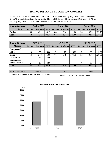## **SPRING DISTANCE EDUCATION COURSES**

Distance Education students had an increase of 20 students over Spring 2009 and this represented 24.02% of total students in Spring 2010. The total Distance FTE for Spring 2010 was 13.84% up from Spring 2009. Total number of sections decreased from 84 to 58.

| <b>Course Delivery</b> |    | <b>Spring 2008</b> |       |    | <b>Spring 2009</b> |        | <b>Spring 2010</b> |                                                                           |            |  |
|------------------------|----|--------------------|-------|----|--------------------|--------|--------------------|---------------------------------------------------------------------------|------------|--|
| Location               |    |                    |       |    |                    |        |                    | Sections Students   FTE   Sections   Students   FTE   Sections   Students | <b>FTE</b> |  |
| <b>Goshen</b>          | 68 | 431                | 94.17 | 84 | 614                | 121.00 | 58                 | 655                                                                       | 37.75      |  |
| <b>Total</b>           | 68 | 431                | 94.17 | 84 | 614                | 121.00 | 58                 | 655                                                                       | 7.75       |  |

| <b>Course Delivery</b> |                 | <b>Spring 2008</b> |            |                 | Spring 2009     |            |                 | Spring 2010     |            |
|------------------------|-----------------|--------------------|------------|-----------------|-----------------|------------|-----------------|-----------------|------------|
| <b>Method</b>          | <b>Sections</b> | <b>Students</b>    | <b>FTE</b> | <b>Sections</b> | <b>Students</b> | <b>FTE</b> | <b>Sections</b> | <b>Students</b> | <b>FTE</b> |
| <b>Compressed</b>      |                 |                    |            |                 |                 |            |                 |                 |            |
| <b>Video</b>           | 10              | 55                 | 16.08      | 8               | 65              | 16.25      | 2               | 20              | 5.00       |
| Internet               | 54              | 348                | 71.08      | 76              | 549             | 104.75     | 52              | 617             | 128.00     |
| <b>Telecourse</b>      | $\overline{2}$  | 12                 | 3.00       |                 |                 |            |                 |                 |            |
| <b>Compressed</b>      |                 |                    |            |                 |                 |            |                 |                 |            |
| <b>Video/Internet</b>  | $\overline{2}$  | 16                 | 4.00       |                 |                 |            | $\overline{4}$  | 18              | 4.75       |
| <b>Total</b>           | 68              | 431                | 94.16      | 84              | 614             | 121.00     | 58              | 655             | 137.75     |
|                        |                 |                    |            |                 |                 |            |                 |                 |            |
| % of Total FTE         |                 | 9.65%              |            |                 | 11.46%          |            |                 | 12.63%          |            |

Number of students is a duplicated headcount

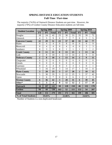## **SPRING DISTANCE EDUCATION STUDENTS Full-Time / Part-time**

|                         |                         | <b>Spring 2008</b> |                         |                  | <b>Spring 2009</b> |                |                | <b>Spring 2010</b> |                |
|-------------------------|-------------------------|--------------------|-------------------------|------------------|--------------------|----------------|----------------|--------------------|----------------|
| <b>Student Location</b> | <b>FT</b>               | PT                 | <b>Total</b>            | <b>FT</b>        | PT                 | <b>Total</b>   | <b>FT</b>      | PT                 | <b>Total</b>   |
| Douglas                 | 18                      | 24                 | 42                      | 23               | 30                 | 53             | 33             | 39                 | 72             |
| Glenrock                | 4                       | 5                  | 9                       | $\overline{0}$   | 7                  | $\overline{7}$ | $\overline{0}$ | 5                  | 5              |
| <b>Converse County</b>  | 22                      | 29                 | 51                      | 23               | 37                 | 60             | 33             | 44                 | 77             |
| Hulett                  | $\overline{0}$          | $\overline{4}$     | $\overline{4}$          | $\overline{0}$   | 8                  | 8              | $\overline{0}$ | 9                  | 9              |
| Moorcroft               | $\overline{0}$          | 4                  | $\overline{4}$          | $\overline{0}$   | $\overline{4}$     | $\overline{4}$ | $\overline{0}$ | 3                  | 3              |
| Sundance                | $\overline{0}$          | 3                  | 3                       | $\overline{0}$   | 1                  | 1              | 1              | 1                  | $\overline{2}$ |
| <b>Crook County</b>     | $\boldsymbol{0}$        | 11                 | 11                      | $\boldsymbol{0}$ | 13                 | 13             | $\mathbf{1}$   | 13                 | 14             |
| Lusk                    | $\overline{2}$          | 8                  | 10                      | 1                | 13                 | 14             | $\overline{2}$ | 9                  | 11             |
| <b>Niobrara County</b>  | $\overline{2}$          | 8                  | 10                      | $\mathbf{1}$     | 13                 | 14             | $\overline{2}$ | 9                  | 11             |
| Chugwater               | $\overline{0}$          | $\overline{0}$     | $\overline{0}$          | $\overline{0}$   | $\overline{0}$     | $\overline{0}$ | $\overline{0}$ | $\overline{0}$     | $\overline{0}$ |
| Glendo                  | $\overline{0}$          | $\overline{0}$     | $\overline{0}$          | $\overline{0}$   | $\overline{0}$     | $\overline{0}$ | $\overline{0}$ | $\overline{0}$     | $\overline{0}$ |
| Guernsey                | $\overline{0}$          | $\overline{4}$     | 4                       | $\overline{0}$   | 3                  | 3              | 1              | $\overline{0}$     | $\mathbf{1}$   |
| Wheatland               | 3                       | 16                 | 19                      | 3                | 14                 | 17             | 1              | 10                 | 11             |
| <b>Platte County</b>    | $\overline{\mathbf{3}}$ | 20                 | 23                      | 3                | 17                 | 20             | $\overline{2}$ | 10                 | 12             |
| Newcastle               | 5                       | 30                 | 35                      | 3                | 22                 | 25             | 5              | 37                 | 42             |
| Upton                   | 1                       | 6                  | 7                       | $\overline{0}$   | 6                  | 6              | $\mathbf{1}$   | $\overline{2}$     | 3              |
| <b>Weston County</b>    | 6                       | 36                 | 42                      | 3                | 28                 | 31             | 6              | 39                 | 45             |
| Other*                  | $\mathbf{1}$            | 3                  | $\overline{\mathbf{4}}$ | $\bf{0}$         | 12                 | 12             | $\overline{2}$ | 17                 | 19             |
| <b>Outreach</b>         | 34                      | 107                | 141                     | 30               | 120                | 150            | 46             | 132                | 178            |
| Goshen                  | 94                      | 44                 | 138                     | 163              | 52                 | 215            | 153            | 54                 | 207            |
| <b>Total</b>            | 128                     | 151                | 279                     | 193              | 172                | 365            | 199            | 186                | 385            |
| % of Total Students     |                         | 19.03%             |                         |                  | 22.86%             |                |                | 24.02%             |                |

The majority (74.0%) of Outreach Distance Students are part-time. However, the majority (74%) of Goshen County Distance Education students are full-time.

Number of Students is a non-duplicated headcount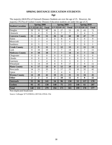## **SPRING DISTANCE EDUCATION STUDENTS**

## **Age**

| <b>Student Location</b> |                  | <b>Spring 2008</b> |                         |                | <b>Spring 2009</b> |                |                         | Spring 2010    |                |
|-------------------------|------------------|--------------------|-------------------------|----------------|--------------------|----------------|-------------------------|----------------|----------------|
|                         |                  | LT 25 GE 25        | <b>Total</b>            |                | LT 25 GE 25        | <b>Total</b>   | LT 25                   | <b>GE 25</b>   | <b>Total</b>   |
| Douglas                 | 26               | 16                 | 42                      | 26             | 27                 | 53             | 29                      | 43             | 72             |
| Glenrock                | 5                | $\overline{4}$     | 9                       | $\overline{0}$ | $\overline{7}$     | $\overline{7}$ | $\mathbf{1}$            | $\overline{4}$ | 5 <sup>5</sup> |
| <b>Converse County</b>  | 31               | 20                 | 51                      | 26             | 34                 | 60             | 30                      | 47             | 77             |
| Hulett                  | $\mathbf{1}$     | 3                  | 4                       | $\overline{0}$ | 8                  | 8              | $\overline{0}$          | 9              | 9              |
| Moorcroft               | 1                | 3                  | $\overline{4}$          | $\mathbf{1}$   | 3                  | $\overline{4}$ | $\mathbf{1}$            | $\overline{2}$ | 3              |
| Sundance                | $\overline{0}$   | 3                  | 3                       | $\overline{0}$ | $\mathbf{1}$       | $\mathbf{1}$   | $\mathbf{1}$            | $\overline{0}$ | $\mathbf{1}$   |
| <b>Crook County</b>     | $\overline{2}$   | 9                  | 11                      | 1              | 12                 | 13             | $\overline{2}$          | 11             | 13             |
| Lusk                    | $\overline{0}$   | 10                 | 10                      | 7              | 7                  | 14             | $\overline{4}$          | 7              | 11             |
| <b>Niobrara County</b>  | $\boldsymbol{0}$ | 10                 | 10                      | $\overline{7}$ | $\overline{7}$     | 14             | $\overline{\mathbf{4}}$ | $\overline{7}$ | 11             |
| Chugwater               | $\overline{0}$   | $\overline{0}$     | $\overline{0}$          | $\overline{0}$ | $\overline{0}$     | $\overline{0}$ | $\overline{0}$          | $\overline{0}$ | $\overline{0}$ |
| Glendo                  | $\overline{0}$   | $\overline{0}$     | $\overline{0}$          | $\overline{0}$ | $\overline{0}$     | $\overline{0}$ | $\overline{0}$          | $\overline{0}$ | $\overline{0}$ |
| Guernsey                | 1                | 3                  | $\overline{4}$          | $\overline{0}$ | 3                  | 3              | $\boldsymbol{0}$        | $\mathbf{1}$   | $\mathbf{1}$   |
| Wheatland               | 5                | 14                 | 19                      | 8              | 9                  | 17             | $\overline{2}$          | 9              | 11             |
| <b>Platte County</b>    | 6                | 17                 | 23                      | 8              | 12                 | 20             | $\overline{2}$          | 10             | 12             |
| Newcastle               | 14               | 21                 | 35                      | 8              | 17                 | 25             | 10                      | 32             | 42             |
| Upton                   | $\overline{0}$   | $\overline{7}$     | $\overline{7}$          | $\overline{2}$ | $\overline{4}$     | 6              | $\mathbf{1}$            | $\overline{2}$ | 3              |
| <b>Weston County</b>    | 14               | 28                 | 42                      | 10             | 21                 | 31             | 11                      | 34             | 45             |
| <b>Other</b>            | $\overline{2}$   | $\overline{2}$     | $\overline{\mathbf{4}}$ | $\overline{2}$ | 10                 | 12             | $\overline{\mathbf{4}}$ | 8              | 12             |
| <b>Outreach</b>         | 55               | 86                 | 141                     | 54             | 96                 | 150            | 53                      | 117            | 170            |
| <b>Goshen</b>           | 93               | 45                 | 138                     | 140            | 75                 | 215            | 146                     | 61             | 207            |
| <b>Total</b>            | 148              | 131                | 279                     | 194            | 171                | 365            | 199                     | 178            | 377            |

The majority (68.8.0%) of Outreach Distance Students are over the age of 25. However, the majority (70.5%) of Goshen County Distance Education students are under the age of 25.

Non-duplicated headcount

Source: Colleague W73.ENROLL.DETAIL.FINAL File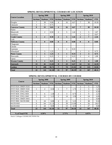| <b>Course Location</b> |                 | <b>Spring 2008</b> |            |                 | Spring 2009     |            |                  | Spring 2010             |            |
|------------------------|-----------------|--------------------|------------|-----------------|-----------------|------------|------------------|-------------------------|------------|
|                        | <b>Sections</b> | <b>Students</b>    | <b>FTE</b> | <b>Sections</b> | <b>Students</b> | <b>FTE</b> | <b>Sections</b>  | <b>Students</b>         | <b>FTE</b> |
| Douglas                | 7               | 30                 | 9.08       | $\overline{4}$  | 16              | 4.67       | 7                | 38                      | 10.50      |
| Glenrock               | $\overline{2}$  | 3                  | 0.75       |                 |                 |            |                  |                         |            |
| <b>Converse County</b> | 9               | 33                 | 9.83       | 4               | <b>16</b>       | 4.67       | 7                | 38                      | 10.50      |
| Hulett                 |                 |                    |            |                 |                 |            |                  |                         |            |
| Moorcroft              | $\mathbf{1}$    | $\overline{2}$     | 0.50       | $\overline{2}$  | 5               | 1.42       | $\mathbf{1}$     | 5                       | 1.67       |
| Sundance               |                 |                    |            |                 |                 |            | 1                | $\overline{c}$          | 0.67       |
| <b>Crook County</b>    | $\mathbf{1}$    | $\overline{2}$     | 0.50       | $\overline{2}$  | 5               | 1.42       | $\overline{2}$   | 7                       | 2.34       |
| Lusk                   |                 |                    |            |                 |                 |            |                  |                         |            |
| <b>Niobrara County</b> | $\mathbf{0}$    | $\mathbf{0}$       | 0.00       | $\mathbf{0}$    | $\mathbf{0}$    | 0.00       | $\boldsymbol{0}$ | $\mathbf{0}$            | 0.00       |
| Chugwater              |                 |                    |            |                 |                 |            |                  |                         |            |
| Glendo                 |                 |                    |            |                 |                 |            |                  |                         |            |
| Guernsey               |                 |                    |            | 1               | 1               | 0.33       |                  |                         |            |
| Wheatland              | $\overline{2}$  | 5                  | 1.25       |                 |                 |            | $\mathbf{1}$     | 3                       | 0.75       |
| <b>Platte County</b>   | $\overline{2}$  | 5                  | 1.25       | $\mathbf{1}$    | 1               | 0.33       | $\mathbf{1}$     | 3                       | 0.75       |
| Newcastle              | 1               | 1                  | 0.25       | 1               | 1               | 0.25       | $\overline{2}$   | 4                       | 1.00       |
| Upton                  |                 |                    |            |                 |                 |            |                  |                         |            |
| <b>Weston County</b>   | $\mathbf{1}$    | $\mathbf{1}$       | 0.25       | $\mathbf{1}$    | $\mathbf{1}$    | 0.25       | $\overline{2}$   | $\overline{\mathbf{4}}$ | 1.00       |
| <b>Outreach</b>        | 13              | 41                 | 11.83      | 8               | 23              | 6.67       | 12               | 52                      | 14.59      |
| <b>Goshen</b>          | 9               | 100                | 30.75      | 7               | 74              | 21.92      | 10               | 115                     | 33.92      |
| <b>Total</b>           | 22              | 141                | 42.58      | 15              | 97              | 28.59      | 22               | 167                     | 48.51      |

#### **SPRING DEVELOPMENTAL COURSES BY LOCATION**

#### **SPRING DEVELOPMENTAL COURSES BY COURSE**

|                              |                 | Spring 2008     |            |                 | Spring 2009     |            | Spring 2010     |                 |            |  |
|------------------------------|-----------------|-----------------|------------|-----------------|-----------------|------------|-----------------|-----------------|------------|--|
| <b>Course</b>                | <b>Sections</b> | <b>Students</b> | <b>FTE</b> | <b>Sections</b> | <b>Students</b> | <b>FTE</b> | <b>Sections</b> | <b>Students</b> | <b>FTE</b> |  |
| DVST 0510 / HMDV 0510        |                 |                 |            |                 |                 |            | 2               | 5               | 1.25       |  |
| <b>DVST 0520 / HMDV 0520</b> |                 | 2               | 0.50       |                 | 7               | 1.75       | 2               | 5               | 1.25       |  |
| DVST 0620 / ENGL 0620        |                 |                 |            |                 |                 |            |                 | $\overline{c}$  | 0.50       |  |
| DVST 0630 / ENGL 0630        | 3               | 6               | 1.50       | 2               | 3               | 0.75       | 2               | 9               | 2.25       |  |
| DVST 0640 / ENGL 0640        | 5               | 21              | 5.25       | 2               | 14              | 3.50       | 4               | 24              | 6.00       |  |
| DVST 0810 / HMDV 0810        |                 |                 |            |                 |                 |            |                 |                 | 0.08       |  |
| DVST 0900 / MATH 0900        | 5               | 24              | 6.00       | 4               | 21              | 5.25       | 3               | 38              | 9.50       |  |
| <b>MATH 0920</b>             | 6               | 64              | 21.33      | 5               | 39              | 13.00      | 4               | 56              | 18.67      |  |
| <b>MATH 0930</b>             | $\mathfrak{D}$  | 24              | 8.00       |                 | 13              | 4.33       | 3               | 27              | 9.00       |  |
| <b>Total</b>                 | 22              | 141             | 42.58      | 15              | 97              | 28.58      | 22              | 167             | 48.50      |  |
| % of Total FTE               |                 | 4.36%           |            |                 | 2.71%           |            |                 | 4.45%           |            |  |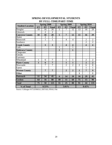| <b>Student Location</b> |              | <b>Spring 2008</b> |                 |                | <b>Spring 2009</b>      |                         |                | <b>Spring 2010</b>      |                         |
|-------------------------|--------------|--------------------|-----------------|----------------|-------------------------|-------------------------|----------------|-------------------------|-------------------------|
|                         | <b>FT</b>    | <b>PT</b>          | <b>Total</b>    | <b>FT</b>      | <b>PT</b>               | <b>Total</b>            | <b>FT</b>      | <b>PT</b>               | <b>Total</b>            |
| Douglas                 | 10           | 16                 | 26              | $\overline{5}$ | 7                       | 12                      | 13             | 16                      | 29                      |
| Glenrock                |              | $\overline{2}$     | $\overline{2}$  |                |                         |                         |                |                         |                         |
| <b>Converse County</b>  | 10           | 18                 | <u>28</u>       | 5              | $\overline{7}$          | 12                      | 13             | 16                      | 29                      |
| Hulett                  |              | $\overline{2}$     | $\overline{2}$  |                |                         |                         |                |                         |                         |
| Moorcroft               |              | 1                  | $\mathbf{1}$    |                | $\overline{4}$          | $\overline{4}$          |                | $\overline{2}$          | $\overline{2}$          |
| Sundance                |              |                    |                 |                |                         |                         |                | $\overline{2}$          | $\overline{2}$          |
| <b>Crook County</b>     |              | 3                  | 3               |                | $\overline{\mathbf{4}}$ | $\overline{\mathbf{4}}$ |                | $\overline{\mathbf{4}}$ | $\overline{\mathbf{4}}$ |
| Lusk                    |              |                    |                 | $\mathbf{1}$   |                         | 1                       |                |                         |                         |
| <b>Niobrara County</b>  |              |                    |                 | 1              |                         | 1                       |                |                         |                         |
| Chugwater               |              |                    |                 |                |                         |                         |                |                         |                         |
| Glendo                  |              |                    |                 |                |                         |                         |                |                         |                         |
| Guernsey                |              |                    |                 |                |                         |                         |                |                         |                         |
| Wheatland               | $\mathbf{1}$ | 6                  | $\overline{7}$  |                | $\mathbf{1}$            | 1                       |                | $\overline{2}$          | $\overline{2}$          |
| <b>Platte County</b>    | 1            | 6                  | 7               |                | $\mathbf{1}$            | 1                       |                | $\overline{2}$          | $\overline{2}$          |
| Newcastle               |              | 7                  | $\overline{7}$  |                | $\overline{2}$          | $\overline{2}$          | $\overline{2}$ | 6                       | $\overline{8}$          |
| Upton                   |              |                    |                 |                |                         |                         |                | 1                       | 1                       |
| <b>Weston County</b>    |              | $\overline{7}$     | $\overline{7}$  |                | $\overline{2}$          | $\overline{2}$          | $\overline{2}$ | 7                       | 9                       |
| <b>Other</b>            |              |                    |                 |                |                         |                         | $\mathbf{1}$   |                         | $\mathbf{1}$            |
| <b>Outreach</b>         | 11           | $\overline{34}$    | $\overline{45}$ | 6              | 14                      | 20                      | 16             | 29                      | 45                      |
| <b>Goshen</b>           | 64           | 16                 | 80              | 49             | 11                      | 60                      | 75             | 15                      | 90                      |
| <b>Total</b>            | 75           | 50                 | 125             | 55             | $\overline{25}$         | 80                      | 91             | 44                      | 135                     |
| % of Total              |              | 8.53%              |                 |                | 5.01%                   |                         |                | 8.42%                   |                         |

## **BY FULL-TIME/PART-TIME SPRING DEVELOPMENTAL STUDENTS**

Source: Colleague W73.ENROLL.DETAIL.FINAL File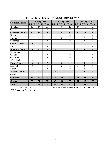|                         |                         | <b>Spring 2008</b>      |                  |                  | <b>Spring 2009</b> |                         |                  | <b>Spring 2010</b> |                         |
|-------------------------|-------------------------|-------------------------|------------------|------------------|--------------------|-------------------------|------------------|--------------------|-------------------------|
| <b>Student Location</b> | LT 25                   | <b>GE 25</b>            | <b>Total</b>     |                  | LT $25$ GE $25$    | <b>Total</b>            |                  | LT $25$ GE $25$    | <b>Total</b>            |
| Douglas                 | 12                      | 14                      | 26               | 6                | 6                  | 12                      | 14               | 15                 | 29                      |
| Glenrock                |                         | $\overline{2}$          | $\overline{2}$   |                  |                    | $\overline{0}$          |                  |                    | $\overline{0}$          |
| <b>Converse County</b>  | 12                      | 16                      | 28               | 6                | 6                  | 12                      | 14               | 15                 | 29                      |
| Hulett                  |                         | $\overline{2}$          | $\overline{2}$   |                  |                    | $\overline{0}$          |                  |                    | $\theta$                |
| Moorcroft               |                         | $\mathbf{1}$            | $\mathbf{1}$     | $\overline{2}$   | $\overline{2}$     | $\overline{4}$          | 1                | $\mathbf{1}$       | $\overline{2}$          |
| Sundance                |                         |                         | $\overline{0}$   |                  |                    | $\overline{0}$          | $\overline{2}$   | $\overline{0}$     | $\overline{2}$          |
| <b>Crook County</b>     | $\boldsymbol{0}$        | 3                       | 3                | $\overline{2}$   | $\overline{2}$     | $\overline{\mathbf{4}}$ | 3                | $\mathbf{1}$       | $\overline{\mathbf{4}}$ |
| Lusk                    |                         |                         | $\overline{0}$   |                  | 1                  | $\mathbf{1}$            |                  |                    | $\boldsymbol{0}$        |
| <b>Niobrara County</b>  | $\boldsymbol{0}$        | $\boldsymbol{0}$        | $\boldsymbol{0}$ | $\boldsymbol{0}$ | $\mathbf{1}$       | $\mathbf{1}$            | $\boldsymbol{0}$ | $\boldsymbol{0}$   | $\boldsymbol{0}$        |
| Chugwater               |                         |                         |                  |                  |                    |                         |                  |                    |                         |
| Glendo                  |                         |                         | $\overline{0}$   |                  |                    | $\overline{0}$          |                  |                    | $\overline{0}$          |
| Guernsey                |                         |                         | $\overline{0}$   |                  |                    | $\overline{0}$          |                  |                    | $\overline{0}$          |
| Wheatland               | $\overline{4}$          | 3                       | 7                | $\mathbf{1}$     |                    | $\mathbf{1}$            |                  | $\mathbf{2}$       | $\overline{2}$          |
| <b>Platte County</b>    | $\overline{\mathbf{4}}$ | 3                       | $\overline{7}$   | $\mathbf{1}$     | $\boldsymbol{0}$   | $\mathbf{1}$            | $\boldsymbol{0}$ | $\overline{2}$     | $\overline{2}$          |
| Newcastle               | 3                       | $\overline{4}$          | 7                |                  | $\overline{2}$     | $\overline{2}$          | $\overline{2}$   | 6                  | 8                       |
| Upton                   |                         |                         | $\overline{0}$   |                  |                    | $\overline{0}$          | 1                | $\overline{0}$     | 1                       |
| <b>Weston County</b>    | $\overline{\mathbf{3}}$ | $\overline{\mathbf{4}}$ | $\overline{7}$   | $\boldsymbol{0}$ | $\overline{2}$     | $\overline{2}$          | 3                | 6                  | 9                       |
| <b>Other</b>            |                         |                         |                  |                  |                    |                         | $\mathbf{1}$     |                    | 1                       |
| <b>Outreach</b>         | 19                      | 26                      | 45               | 9                | 11                 | 20                      | 21               | 24                 | 45                      |
| Goshen                  | 53                      | 27                      | 80               | 46               | 14                 | 60                      | 71               | 18                 | 89                      |
| <b>Total</b>            | 72                      | 53                      | 125              | 55               | 25                 | 80                      | 92               | 42                 | 134                     |

#### **SPRING DEVELOPMENTAL STUDENTS BY AGE**

LT- Less Than 25

Source: Colleague W73.ENROLL.DETAIL.FINAL File

GE- Greater or Equal to 25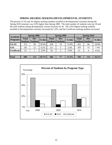### **SPRING DEGREE-SEEKING/DEVELOPMENTAL STUDENTS**

The percent of AA and AS degree-seeking students enrolled in developmental course(s) during the Spring 2010 semester was 4.9% higher than Spring 2009. The total number of students went up 18 and the total students taking develpmental courses increase by 36. The AAS degree-seeking students enrolled in developmental course(s) increased by 5.0%, and the Certificate-seeking students increased

| <b>Academic</b>    |              | <b>Spring 2008</b>                     |       |              | <b>Spring 2009</b>                     |         | <b>Spring 2010</b> |                                        |       |  |  |
|--------------------|--------------|----------------------------------------|-------|--------------|----------------------------------------|---------|--------------------|----------------------------------------|-------|--|--|
| <b>Programs</b>    | <b>Total</b> | <b>Dev</b><br><b>Students Students</b> | % Dev | <b>Total</b> | <b>Dev</b><br><b>Students Students</b> | $%$ Dev | <b>Total</b>       | <b>Dev</b><br><b>Students Students</b> | % Dev |  |  |
| <b>AA/AS</b>       | 372          | 99                                     | 26.6% | 439          | 70                                     | 15.9%   | 452                | 94                                     | 20.8% |  |  |
| <b>AAS</b>         | 193          | 12                                     | 6.2%  | 211          | 5                                      | 2.4%    | 203                | 15                                     | 7.4%  |  |  |
| <b>Certificate</b> | 35           |                                        | 2.9%  | 34           | $\overline{2}$                         | 5.9%    | 47                 | 4                                      | 8.5%  |  |  |
|                    |              |                                        |       |              |                                        |         |                    |                                        |       |  |  |
| <b>Total</b>       | 600          | 112                                    | 18.7% | 684          | 77                                     | 11.3%   | 702                | 113                                    | 16.1% |  |  |

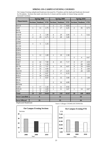#### **SPRING ON-CAMPUS EVENING COURSES**

On-Campus Evening unduplicated headcount decreased by 37students and the duplicated headcount decreased by 58 students. Sections that made went down by 4 classes and the number of classes being canceled increased 3 sections.

|                        | Spring 2008     |                          |                   |                 | Spring 2009     |            | <b>Spring 2010</b> |                   |            |  |
|------------------------|-----------------|--------------------------|-------------------|-----------------|-----------------|------------|--------------------|-------------------|------------|--|
| <b>Departments</b>     |                 | <b>Sections Students</b> | <b>FTE</b>        | <b>Sections</b> | <b>Students</b> | <b>FTE</b> |                    | Sections Students | <b>FTE</b> |  |
| <b>ACCT</b>            |                 |                          |                   | 1               | 5               | 0.83       |                    |                   |            |  |
| <b>ART</b>             | $\mathbf{1}$    | 11                       | 2.75              | $\mathbf{1}$    | 17              | 4.25       | $\overline{2}$     | 35                | 8.75       |  |
| <b>BIOL</b>            |                 |                          |                   |                 |                 |            |                    |                   |            |  |
| <b>BOTK</b>            |                 |                          |                   |                 |                 |            |                    |                   |            |  |
| <b>CMAP</b>            | $\mathbf{1}$    | $\overline{4}$           | 1.00              | $\overline{4}$  | 29              | 4.00       | $\mathbf{1}$       | 5                 | 0.42       |  |
| CO/M                   | $\overline{2}$  | 19                       | 4.75              | $\overline{2}$  | 20              | 5.00       |                    |                   |            |  |
| COSC                   |                 |                          |                   |                 |                 |            |                    |                   |            |  |
| <b>CRMJ</b>            |                 |                          |                   |                 |                 |            |                    |                   |            |  |
| <b>DVST</b>            | $\mathbf{1}$    | 5                        | 1.25              |                 |                 |            |                    |                   |            |  |
| <b>ECON</b>            |                 |                          |                   |                 |                 |            |                    |                   |            |  |
| <b>EDEX</b>            |                 |                          |                   |                 |                 |            |                    |                   |            |  |
| <b>EDFD</b>            |                 |                          |                   |                 |                 |            |                    |                   |            |  |
| <b>EDUC</b>            |                 |                          |                   |                 |                 |            |                    |                   |            |  |
| <b>ENTK</b>            | $\mathbf{1}$    | 12                       | 1.00              | $\mathbf{1}$    | 19              | 1.58       |                    |                   |            |  |
| <b>ENTR</b>            |                 |                          |                   |                 |                 |            | $\overline{2}$     | $\overline{4}$    | 0.67       |  |
| <b>ENGL</b>            |                 |                          |                   |                 |                 |            |                    |                   |            |  |
| <b>EQST</b>            | $\overline{4}$  | 42                       | 7.00              | $\overline{4}$  | 43              | 7.17       | $\overline{4}$     | 27                | 4.50       |  |
| <b>HIST</b>            | $\overline{2}$  | 6                        | 1.50              |                 |                 |            | $\mathbf{1}$       | 20                | 5.00       |  |
| <b>HLTK</b>            | $\overline{4}$  | 23                       | 7.67              | $\overline{2}$  | 14              | 4.67       | $\overline{4}$     | 24                | 8.00       |  |
| <b>LIBS</b>            | $\overline{2}$  | 16                       | 4.00              |                 |                 |            | $\mathbf{1}$       | 8                 | 2.00       |  |
| <b>MATH</b>            | $\overline{2}$  | $8\,$                    | $\overline{2.00}$ | $\overline{2}$  | 17              | 4.25       | $\overline{c}$     | 20                | 5.00       |  |
| <b>MUSC</b>            | $\overline{2}$  | 8                        | 0.67              | $\mathbf{1}$    | $\overline{4}$  | 0.33       |                    |                   |            |  |
| <b>POLS</b>            | $\mathbf{1}$    | 34                       | 8.50              |                 |                 |            |                    |                   |            |  |
| <b>PSYC</b>            | $\overline{2}$  | $\overline{2}$           | 0.67              | $\overline{c}$  | 12              | 3.00       | $\overline{2}$     | 3                 | 1.00       |  |
| <b>REAL</b>            |                 |                          |                   |                 |                 |            |                    |                   |            |  |
| <b>RELI</b>            |                 |                          |                   | $\mathfrak{2}$  | 16              | 4.00       |                    |                   |            |  |
| <b>REWM</b>            |                 |                          |                   |                 |                 |            |                    |                   |            |  |
| <b>SAFE</b>            | $\mathbf{1}$    | 17                       | 1.42              | 1               | 11              | 0.92       |                    |                   |            |  |
| <b>WELD</b>            | $\mathbf{1}$    | 12                       | 4.00              | $\mathbf{1}$    | 11              | 3.67       | 1                  | 14                | 4.67       |  |
| ZOO                    | $\overline{2}$  | 8                        | 2.67              |                 |                 |            |                    |                   |            |  |
| <b>Total</b>           | $\overline{29}$ | 227                      | 50.85             | $\overline{24}$ | 218             | 43.67      | 20                 | 160               | 40.01      |  |
| <b>Sects Cancelled</b> |                 | 6                        |                   |                 | 11              |            |                    | 14                |            |  |
| <b>Sects Offered</b>   |                 | 35                       |                   |                 | 35              |            |                    | 34                |            |  |

Duplicated Headcount



Source: Colleague COURSE.SECTIONS File



23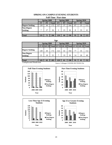|                       |           | <b>Spring 2008</b> |              |           | Spring 2009 |              | Spring 2010 |    |              |  |
|-----------------------|-----------|--------------------|--------------|-----------|-------------|--------------|-------------|----|--------------|--|
|                       | <b>FT</b> | PT                 | <b>Total</b> | <b>FT</b> | PT          | <b>Total</b> | <b>FT</b>   | PT | <b>Total</b> |  |
| <b>Degree Seeking</b> | 128       | 44                 | 172          | 127       | 37          | 164          | 87          | 25 | 112          |  |
| <b>Non-Degree</b>     |           |                    |              |           |             |              |             |    |              |  |
| <b>Seeking</b>        | 7         | 27                 | 34           | 3         | 23          | 26           | 8           | 33 |              |  |
|                       |           |                    |              |           |             |              |             |    |              |  |
| <b>Total</b>          | 135       | 71                 | 206          | 130       | 60          | 190          | 95          | 58 | 153          |  |

#### **SPRING ON-CAMPUS EVENING STUDENTS Full-Time / Part-time**

|                              |     | Spring 2008                                           |     |     | Spring 2009 |     | Spring 2010 |    |     |  |
|------------------------------|-----|-------------------------------------------------------|-----|-----|-------------|-----|-------------|----|-----|--|
|                              |     | LT 25 GE 25 Total LT 25 GE 25 Total LT 25 GE 25 Total |     |     |             |     |             |    |     |  |
| <b>Degree Seeking</b>        | 128 | 44                                                    | 172 | 122 | 42          | 164 | 77          | 35 | 112 |  |
| <b>Non-Degree</b><br>Seeking | 15  | 18                                                    | 33  | 7   | 19          | 26  | 14          | 26 | 40  |  |
|                              |     |                                                       |     |     |             |     |             |    |     |  |
| Total                        | 143 | 62                                                    | 205 | 129 | 61          | 190 | 91          | 61 | 152 |  |

**Age**

Unduplicated Headcount



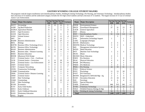#### **EASTERN WYOMING COLLEGE STUDENT MAJORS**

The programs with the largest enrollments were Interdisciplinary Studies, Welding & Joining Technology, Pre-Nursing, and Veterinary Technology. Interdisciplinary Studies had a decrease of 32 students and the undeclared category includes the 415 high school students and had a decrease of 12 students. The largest increase of 13 was in Criminal Justice- Law Enforcement. j.

| <b>Major</b> | <b>Major Description</b>               | 2008           | Spring Spring<br>2009 | <b>Spring</b><br>2010 | <b>Variance</b>  | <b>Major</b> | <b>Major Description</b>              | Spring Spring Spring<br>2008 | 2009           | 2010           | <b>Variance</b> |
|--------------|----------------------------------------|----------------|-----------------------|-----------------------|------------------|--------------|---------------------------------------|------------------------------|----------------|----------------|-----------------|
| <b>ACCT</b>  | Accounting                             | 14             | 12                    | 15                    | 3                | <b>ENVR</b>  | <b>Environmental Science</b>          | 1                            |                |                | $\overline{0}$  |
| <b>AGBP</b>  | Ag Beef Production                     | 3              |                       | $\overline{2}$        | $\overline{2}$   | <b>FRCH</b>  | Farm/Ranch Management                 | 27                           | 31             | 23             | $-8$            |
| <b>AGBUS</b> | <b>Agricultural Busines</b>            | 8              | 8                     | 5                     | $-3$             | <b>GAGR</b>  | General Agriculture                   |                              | 3              | $\overline{2}$ | $-1$            |
| <b>AGEC</b>  | Agri-Economics                         |                |                       |                       | $\mathbf{0}$     | <b>HIST</b>  | History                               | 4                            | $\mathbf{2}$   | $\overline{2}$ | $\mathbf{0}$    |
| <b>AGED</b>  | Agri-Education                         | $\overline{c}$ | 2                     | 6                     | $\overline{4}$   | <b>INST</b>  | <b>Interdisciplinary Studies</b>      | 92                           | 154            | 122            | $-32$           |
| <b>ANSC</b>  | Animal Science                         | 12             | 12                    | 8                     | $-4$             | <b>INSTU</b> | <b>INST</b> - Undeclared              |                              | 3              |                | $-3$            |
| <b>ART</b>   | Art                                    | 4              | 8                     | 15                    | $\tau$           | <b>ITSS</b>  | <b>Information Technology Support</b> |                              |                |                |                 |
| <b>BADM</b>  | <b>Business Administration</b>         | 27             | 28                    | 27                    | $-1$             | <b>LANG</b>  | Languages (Foreign)                   |                              |                |                |                 |
| <b>BIOL</b>  | <b>Biology</b>                         | 4              | 3                     | 3                     | $\mathbf{0}$     | <b>MATH</b>  | <b>Mathematics</b>                    | 2                            | 5              |                | -5              |
| <b>BOFTK</b> | Business Office Technology (Cert.)     | 5              | 3                     | 3                     | $\mathbf{0}$     |              | <b>MEDTK</b> Medical Technology       | 3                            | $\overline{2}$ | 1              |                 |
| <b>BOTK</b>  | <b>Business Office Technology</b>      | 9              | 5                     | $\overline{7}$        | $\sqrt{2}$       | <b>MIS</b>   | <b>Management Information Systems</b> | Δ                            |                |                | - 1             |
| <b>BSAD</b>  | <b>Business Administration</b>         | 19             | 19                    | 14                    | $-5$             | <b>MTED</b>  | <b>Math Education</b>                 |                              |                |                | 0               |
| <b>BSDL</b>  | Business Adm. - Distance Learning      | 3              | $\overline{2}$        |                       | $-1$             | <b>MTT</b>   | Machine Tool Technology               |                              | $\overline{c}$ | 5              | 3               |
| <b>BSED</b>  | <b>Business Education</b>              |                |                       |                       | 1                | <b>MUSC</b>  | Music                                 |                              |                |                |                 |
| <b>BWEB</b>  | (Business) Web Design                  | 3              | 3                     | $\overline{7}$        | $\overline{4}$   | <b>MUSED</b> | <b>Music Education</b>                | $\overline{2}$               |                |                | $-1$            |
| <b>CJCC</b>  | Criminal Justice - Corr. - Certificate |                |                       |                       | $\mathbf{0}$     | <b>PDEN</b>  | Pre-Dentistry                         | 2                            |                | 3              | 3               |
| <b>CJCR</b>  | Criminal Justice - Corrections         | 6              | 11                    | 20                    | 9                | <b>PEAC</b>  | <b>Physical Education</b>             | 4                            | 5              | 4              |                 |
| <b>CJLE</b>  | Criminal Justice - Law Enforcement     | 17             | 19                    | 32                    | 13               | <b>PHAR</b>  | Pre-Pharmacy                          | 4                            |                | 1              | 1               |
| <b>CMJT</b>  | <b>Criminal Justice</b>                | 7              | $\overline{4}$        | $\overline{2}$        | $-2$             | <b>PMED</b>  | Pre-Medicine                          | 3                            | $\overline{2}$ | 3              |                 |
| <b>CNET</b>  | <b>Computer Networking</b>             | 5              | $\overline{4}$        | 11                    | 7                | <b>PNSG</b>  | Pre-Nursing                           | 44                           | 59             | 61             | $\overline{2}$  |
| <b>CNTK</b>  | <b>Construction Technology</b>         | 11             | 8                     | 12                    | $\overline{4}$   | <b>POLS</b>  | <b>Political Science</b>              |                              |                |                | $\theta$        |
| <b>COMM</b>  | Communication                          | 4              | $\overline{2}$        | $\overline{c}$        | $\overline{0}$   | <b>PSYC</b>  | Psychology                            | 11                           | 13             | 20             | 7               |
| <b>CRDL</b>  | Criminal Justice- Distance Learning    |                |                       | $\overline{2}$        | 2                | <b>PVET</b>  | Pre-Veterinary                        | 2                            | 7              | 5              | $-2$            |
| <b>CRMJ</b>  | Criminal Justice                       | 6              |                       |                       | $\mathbf{0}$     | <b>REWM</b>  | Rangeland Ec &Wtrshd Mgt - Ag         | $\overline{c}$               |                | 3              | 2               |
| <b>CSHT</b>  | Hair Technology                        |                | 5                     | 4                     | $-1$             | <b>SCED</b>  | <b>Secondary Education</b>            | 21                           | 18             | 19             |                 |
| <b>CSMO</b>  | Cosmetology                            | 22             | 29                    | 25                    | -4               | <b>SOC</b>   | Sociology                             | 4                            | 6              | $\overline{4}$ | $-2$            |
| <b>CSST</b>  | Skin Technology                        | 3              |                       | $\overline{2}$        | 2                | <b>SPED</b>  | <b>Special Education</b>              |                              |                |                | $-1$            |
| <b>ECON</b>  | Economics                              |                |                       |                       | $\boldsymbol{0}$ | <b>UNDE</b>  | Undeclared                            | 866                          | 913            | 901            | $-12$           |
| <b>ECST</b>  | Early Child Studies                    |                |                       |                       | $\boldsymbol{0}$ | <b>VTTK</b>  | Veterinary Technology                 | 48                           | 55             | 54             | $-1$            |
| <b>EDCC</b>  | <b>Early Childcare</b>                 | 5              | $\overline{4}$        | 4                     | $\boldsymbol{0}$ | <b>WILD</b>  | Wildlife/Fisheries Biology & Mgt      | 2                            | 3              | 5              | $\overline{c}$  |
| <b>EDEC</b>  | Early Childhood Education              | 7              | 11                    | 15                    | $\overline{4}$   | <b>WJTK</b>  | Welding & Joining Technology          | 56                           | 71             | 73             | $\overline{2}$  |
| <b>ELED</b>  | <b>Elementary Education</b>            | 51             | 34                    | 42                    | 8                | <b>Total</b> |                                       | 1.466                        | 1,597          | 1,603          | 6               |
| <b>ENGL</b>  | English                                | $\overline{2}$ |                       | $\overline{2}$        |                  |              |                                       |                              |                |                |                 |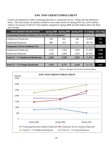## **EWC NON-CREDIT ENROLLMENT**

Courses are identified as either continuing education or community service. Please note the definitions below. The total number of students enrolled in non-credit courses for Spring 2010 was 2,216 students, which is an increase of 445 (25.13%) students compared to Spring 2009 and 289 students above the threeyear average.

| <b>NON-CREDIT HEADCOUNT</b>                                     |       | Spring 2008 Spring 2009 | Spring 2010 | % Change 3 Yr. Avg. |       |
|-----------------------------------------------------------------|-------|-------------------------|-------------|---------------------|-------|
| <b>Continuing Education Students (CE) Workforce Development</b> |       |                         |             |                     |       |
| <b>Unduplicated Headcount</b>                                   | 628   | 661                     | 436         | $-34.04%$           | 575   |
| <b>Duplicated Headcount</b>                                     | 806   | 875                     | 527         | $-39.77\%$          | 736   |
| <b>Community Service Students (CS)</b>                          |       |                         |             |                     |       |
| <b>Unduplicated Headcount</b>                                   | 1,212 | 1,156                   | 1,819       | 57.35%              | 1,396 |
| <b>Duplicated Headcount</b>                                     | 1,456 | 1,664                   | 2,405       | 44.53%              | 1,842 |
| <b>Total CE + CS Duplicated Headcount</b>                       | 2,262 | 2,539                   | 2,932       | 15.48%              | 2,578 |
|                                                                 |       |                         |             |                     |       |
| Total CE + CS Unique Headcount                                  | 1,793 | 1,771                   | 2,216       | 25.13%              | 1,927 |

Source: Colleague Non-Credit Enrollment Report

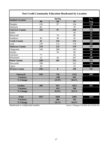| <b>Non-Credit Community Education Headcount by Location</b> |                    |                                                                                  |                                                             |  |  |  |  |  |  |
|-------------------------------------------------------------|--------------------|----------------------------------------------------------------------------------|-------------------------------------------------------------|--|--|--|--|--|--|
|                                                             | 3 Yr.              |                                                                                  |                                                             |  |  |  |  |  |  |
| 08                                                          | 09                 | 10                                                                               | Avg.                                                        |  |  |  |  |  |  |
| 110                                                         | 97                 | 154                                                                              | 120                                                         |  |  |  |  |  |  |
| 82                                                          |                    | 78                                                                               | 53                                                          |  |  |  |  |  |  |
| 192                                                         | 97                 | 232                                                                              | 174                                                         |  |  |  |  |  |  |
|                                                             |                    | 38                                                                               | 13                                                          |  |  |  |  |  |  |
|                                                             | 76                 | 89                                                                               | 55                                                          |  |  |  |  |  |  |
| 42                                                          | 40                 | 24                                                                               | 35                                                          |  |  |  |  |  |  |
| 42                                                          | 116                | 151                                                                              | 103                                                         |  |  |  |  |  |  |
| 270                                                         | 112                | 179                                                                              | 187                                                         |  |  |  |  |  |  |
| 270                                                         | 112                | 179                                                                              | 187                                                         |  |  |  |  |  |  |
| 146                                                         | 289                | 183                                                                              | 206                                                         |  |  |  |  |  |  |
|                                                             | 50                 | 58                                                                               | 36                                                          |  |  |  |  |  |  |
| 77                                                          |                    | 44                                                                               | 40                                                          |  |  |  |  |  |  |
| 15                                                          | 46                 | 267                                                                              | 109                                                         |  |  |  |  |  |  |
| 238                                                         | 385                | 552                                                                              | 392                                                         |  |  |  |  |  |  |
| 198                                                         |                    | 222                                                                              | 140                                                         |  |  |  |  |  |  |
| 18                                                          |                    | 16                                                                               | 11                                                          |  |  |  |  |  |  |
| 216                                                         | $\boldsymbol{0}$   | 238                                                                              | 151                                                         |  |  |  |  |  |  |
|                                                             |                    |                                                                                  |                                                             |  |  |  |  |  |  |
|                                                             |                    |                                                                                  | 1007                                                        |  |  |  |  |  |  |
|                                                             |                    |                                                                                  |                                                             |  |  |  |  |  |  |
|                                                             |                    |                                                                                  |                                                             |  |  |  |  |  |  |
|                                                             |                    |                                                                                  |                                                             |  |  |  |  |  |  |
|                                                             |                    |                                                                                  | 835                                                         |  |  |  |  |  |  |
|                                                             |                    |                                                                                  |                                                             |  |  |  |  |  |  |
|                                                             |                    |                                                                                  |                                                             |  |  |  |  |  |  |
|                                                             |                    |                                                                                  | 1842                                                        |  |  |  |  |  |  |
|                                                             |                    |                                                                                  |                                                             |  |  |  |  |  |  |
|                                                             | 14.1%              | 44.6%                                                                            |                                                             |  |  |  |  |  |  |
|                                                             | 958<br>499<br>1457 | <b>Spring</b><br>710<br>$-248$<br>$-25.9%$<br>953<br>454<br>91.0%<br>1663<br>206 | 1352<br>642<br>90.4%<br>1053<br>100<br>10.5%<br>2405<br>742 |  |  |  |  |  |  |

Headcount is a duplicated number.

Г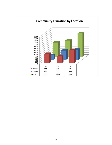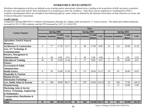## **WORKFORCE DEVELOPMENT**

Workforce development activities are defined as *any training and/or educational related service leading to the acquisition of skills necessary to perform the duties of a particular job for those individuals in or preparing to enter the workforce*. Only those courses organized or coordinated by EWC's workforce development efforts are included in the following table by career cluster as defined by the National Association of State Directors of Career and Technical Education Consortium.

#### **Credit Courses**

Compared to Spring 2009 EWC's workforce development offerings for college credit increased by 17 course sections. The duplicated student headcount increased by 95 (11.50%) students, and the FTE increased by 18.17 (11.14%) FTE.

|                                                               | Year               |                          |                               |               |                                  |                          |                               |               |                |                          |                               |            |  |
|---------------------------------------------------------------|--------------------|--------------------------|-------------------------------|---------------|----------------------------------|--------------------------|-------------------------------|---------------|----------------|--------------------------|-------------------------------|------------|--|
| <b>Career Clusters</b>                                        | <b>Spring 2008</b> |                          |                               |               |                                  | Spring 2009              |                               |               |                | Spring 2010              |                               |            |  |
|                                                               |                    | <b>Sections Students</b> | <b>Credit</b><br><b>Hours</b> | <b>FTE</b>    |                                  | <b>Sections Students</b> | <b>Credit</b><br><b>Hours</b> | <b>FTE</b>    |                | <b>Sections Students</b> | <b>Credit</b><br><b>Hours</b> | <b>FTE</b> |  |
| <b>Agriculture, Food &amp; Natural</b><br><b>Resources</b>    |                    |                          |                               |               |                                  |                          |                               |               |                |                          |                               |            |  |
| <b>Architecture &amp; Construction</b>                        | 9                  | 77                       | 17.50                         | 12.17         | 8                                | 46                       | 17.00                         | 8.00          | 16             | 121                      | 36.00                         | 21.25      |  |
| Arts, A/V Technology &<br><b>Communications</b>               |                    |                          |                               |               |                                  |                          |                               |               |                |                          |                               |            |  |
| <b>Business, Management &amp;</b>                             |                    | 40                       | 4.00                          | 3.33          |                                  |                          | 2.00                          | 4.08          |                | 30                       | 1.00                          | 2.50       |  |
| <b>Administration</b>                                         | 4<br>10            | 78                       | 21.00                         | 12.42         | $\overline{2}$<br>$\overline{3}$ | 49<br>17                 | 8.00                          | 3.67          | 3              | 18                       | 10.00                         | 4.67       |  |
| <b>Education &amp; Training</b><br><b>Finance</b>             |                    |                          |                               |               |                                  |                          |                               |               |                |                          |                               |            |  |
| <b>Government &amp; Public</b>                                |                    |                          |                               |               |                                  |                          |                               |               |                |                          |                               |            |  |
| <b>Administration</b>                                         |                    |                          |                               |               |                                  |                          |                               |               |                |                          |                               |            |  |
| <b>Health Science</b>                                         | 6                  | 43                       | 22.00                         | 13.50         | 8                                | 117                      | 24.00                         | 25.17         | 10             | 95                       | 28.00                         | 19.67      |  |
| <b>Hospitality &amp; Tourism</b>                              |                    |                          |                               |               |                                  |                          |                               |               |                |                          |                               |            |  |
| <b>Human Services</b>                                         |                    |                          |                               |               |                                  |                          |                               |               |                |                          |                               |            |  |
| <b>Information Technology</b>                                 |                    |                          |                               |               |                                  |                          |                               |               |                |                          |                               |            |  |
| Law, Public Safety & Security                                 | 16                 | 390                      | 38.00                         | 80.17         | 27                               | 597                      | 65.00                         | 122.25        | 33             | 645                      | 77.00                         | 128.25     |  |
| <b>Manufacturing</b>                                          |                    |                          |                               |               |                                  |                          |                               |               | $\overline{2}$ | 12                       | 10.00                         | 5.00       |  |
| <b>Marketing, Sales &amp; Service</b>                         |                    |                          |                               |               |                                  |                          |                               |               |                |                          |                               |            |  |
| <b>Science, Technology, Engineering</b>                       |                    |                          |                               |               |                                  |                          |                               |               |                |                          |                               |            |  |
| & Mathematics                                                 |                    |                          |                               |               |                                  |                          |                               |               |                |                          |                               |            |  |
| <b>Transportation, Distribution &amp;</b><br><b>Logistics</b> |                    |                          |                               |               |                                  |                          |                               |               |                |                          |                               |            |  |
| <b>Total</b>                                                  | 45                 | 628                      |                               | 102.50 121.59 | 48                               | 826                      |                               | 116.00 163.17 | 65             | 921                      | 162.00                        | 181.34     |  |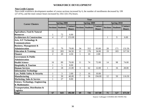### **WORKFORCE DEVELOPMENT**

#### **Non-Credit Courses**

Non-credit workforce development number of course sections increased by 6, the number of enrollments decreased by 199 (27.41%), and the total contact hours increased by 256.5 (61.5%) hours.

|                                           | Year               |                          |                                |                    |                          |                                |              |                          |                                |  |  |  |
|-------------------------------------------|--------------------|--------------------------|--------------------------------|--------------------|--------------------------|--------------------------------|--------------|--------------------------|--------------------------------|--|--|--|
| <b>Career Clusters</b>                    | <b>Spring 2008</b> |                          |                                | <b>Spring 2009</b> |                          |                                | Spring 2010  |                          |                                |  |  |  |
|                                           |                    | <b>Sections Students</b> | <b>Contact</b><br><b>Hours</b> |                    | <b>Sections Students</b> | <b>Contact</b><br><b>Hours</b> |              | <b>Sections Students</b> | <b>Contact</b><br><b>Hours</b> |  |  |  |
| <b>Agriculture, Food &amp; Natural</b>    |                    |                          |                                |                    |                          |                                |              |                          |                                |  |  |  |
| <b>Resources</b>                          |                    | 72                       | 6.00                           |                    |                          |                                |              |                          |                                |  |  |  |
| <b>Architecture &amp; Construction</b>    | $\overline{4}$     | 17                       | 153.00                         |                    |                          |                                | $\mathbf{1}$ | 9                        | 6.00                           |  |  |  |
| Arts, A/V Technology &                    |                    |                          |                                |                    |                          |                                |              |                          |                                |  |  |  |
| <b>Communications</b>                     |                    |                          |                                |                    |                          |                                |              |                          |                                |  |  |  |
| <b>Business, Management &amp;</b>         |                    |                          |                                |                    |                          |                                |              |                          |                                |  |  |  |
| <b>Administration</b>                     | 15                 | 79                       | 79.00                          | 34                 | 352                      | 93.00                          | 28           | 171                      | 131.50                         |  |  |  |
| <b>Education &amp; Training</b>           | 22                 | 283                      | 94.50                          | 11                 | 176                      | 34.00                          | 19           | 183                      | 317.50                         |  |  |  |
| <b>Finance</b>                            | $\overline{2}$     | 20                       | 4.50                           | $\mathbf{1}$       | 10                       | 2.00                           |              |                          |                                |  |  |  |
| <b>Government &amp; Public</b>            |                    |                          |                                |                    |                          |                                |              |                          |                                |  |  |  |
| <b>Administration</b>                     |                    |                          |                                |                    |                          |                                |              |                          |                                |  |  |  |
| <b>Health Science</b>                     | 16                 | 89                       | 76.00                          | 11                 | 74                       | 72.00                          | 14           | 98                       | 74.00                          |  |  |  |
| <b>Hospitality &amp; Tourism</b>          | 1                  | 5                        | 8.00                           |                    |                          |                                |              |                          |                                |  |  |  |
| <b>Human Services</b>                     | $\overline{2}$     | 18                       | 21.00                          | 3                  | 62                       | 12.00                          | $\mathbf{1}$ | 16                       | 28.00                          |  |  |  |
| <b>Information Technology</b>             |                    |                          |                                |                    |                          |                                |              |                          |                                |  |  |  |
| Law, Public Safety & Security             | 1                  | 3                        | 2.00                           | $\overline{2}$     | 16                       | 10.00                          |              |                          |                                |  |  |  |
| <b>Manufacturing</b>                      | $\overline{2}$     | 30                       | 40.00                          | $\overline{7}$     | 36                       | 194.00                         | 12           | 50                       | 116.50                         |  |  |  |
| <b>Marketing, Sales &amp; Service</b>     | $\mathbf{1}$       | 27                       | 8.00                           |                    |                          |                                |              |                          |                                |  |  |  |
| <b>Science, Technology, Engineering</b>   |                    |                          |                                |                    |                          |                                |              |                          |                                |  |  |  |
| & Mathematics                             |                    |                          |                                |                    |                          |                                |              |                          |                                |  |  |  |
| <b>Transportation, Distribution &amp;</b> |                    |                          |                                |                    |                          |                                |              |                          |                                |  |  |  |
| <b>Logistics</b>                          |                    |                          |                                |                    |                          |                                |              |                          |                                |  |  |  |
| <b>Total</b>                              | 67                 | 643                      | 492.00                         | 69                 | 726                      | 417.00                         | 75           | 527                      | 673.50                         |  |  |  |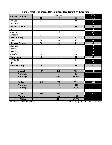| <b>Student Location</b> |                         | 3 Yr.          |                  |                  |
|-------------------------|-------------------------|----------------|------------------|------------------|
|                         | 08                      | 09             | 10               | Avg.             |
| Douglas                 | 51                      | 11             | 41               | 34               |
| Glenrock                |                         |                |                  | $\bf{0}$         |
| <b>Converse County</b>  | 51                      | 11             | 41               | 26               |
| Hulett                  |                         |                |                  | $\bf{0}$         |
| Moorcroft               |                         | 50             |                  | 25               |
| Sundance                | 17                      |                |                  | $\boldsymbol{0}$ |
| <b>Crook County</b>     | 17                      | 50             | $\boldsymbol{0}$ | 25               |
| Lusk                    | 56                      | 50             | 46               | 48               |
| <b>Niobrara County</b>  | 56                      | 50             | 46               | 48               |
| Chugwater               |                         |                |                  | $\bf{0}$         |
| Glendo                  |                         |                |                  | $\bf{0}$         |
| Guernsey                |                         |                |                  | $\bf{0}$         |
| Wheatland               | $\overline{3}$          | 8              | 31               | 20               |
| <b>Platte County</b>    | $\overline{\mathbf{3}}$ | 8              | 31               | 20               |
| Newcastle               |                         | $\overline{7}$ | 37               | 22               |
| Upton                   |                         |                |                  | $\bf{0}$         |
| <b>Weston County</b>    | $\boldsymbol{0}$        | $\overline{7}$ | 37               | 15               |
|                         |                         |                |                  |                  |
| <b>Outreach</b>         | 127                     | 126            | 155              | 141              |
| <b>Variance</b>         |                         | $-1$           | 29               |                  |
| % Change                |                         | $-0.8%$        | 23.0%            |                  |
|                         |                         |                |                  |                  |
| <b>Goshen</b>           | 516                     | 600            | 372              | 486              |
| <b>Variance</b>         |                         | 84             | $-228$           |                  |
| % Change                |                         | 16.3%          | $-38.0%$         |                  |
|                         |                         |                |                  |                  |
| <b>Total</b>            | 643                     | 726            | 527              | 627              |
| <b>Variance</b>         |                         | 83             | $-199$           |                  |
| % Change                |                         | 12.9%          | $-27.4%$         |                  |

## **Non-Credit Workforce Development Headcount by Location**

Headcount is a duplicated number